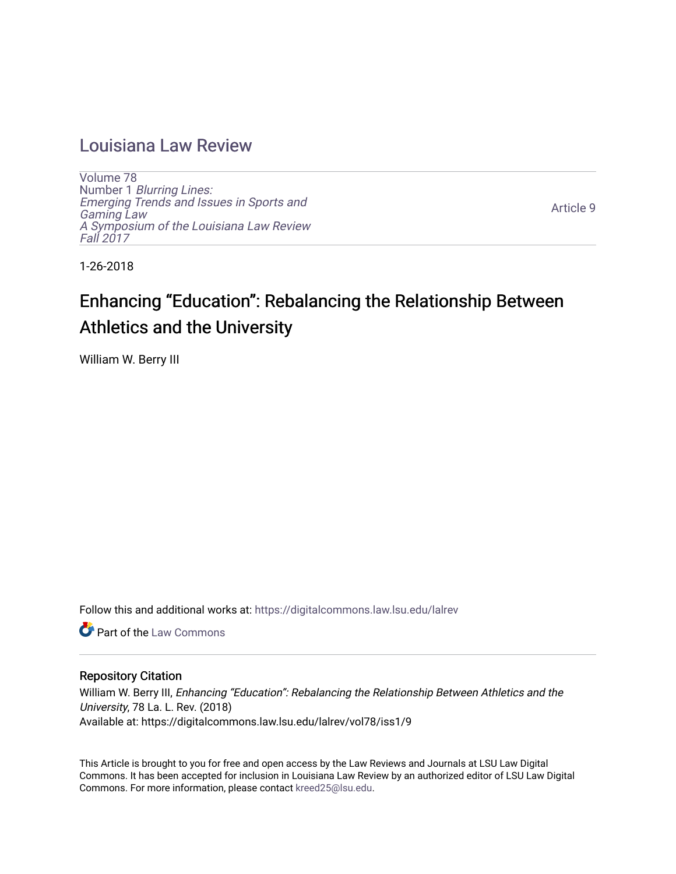# [Louisiana Law Review](https://digitalcommons.law.lsu.edu/lalrev)

[Volume 78](https://digitalcommons.law.lsu.edu/lalrev/vol78) Number 1 [Blurring Lines:](https://digitalcommons.law.lsu.edu/lalrev/vol78/iss1) [Emerging Trends and Issues in Sports and](https://digitalcommons.law.lsu.edu/lalrev/vol78/iss1)  [Gaming Law](https://digitalcommons.law.lsu.edu/lalrev/vol78/iss1)  [A Symposium of the Louisiana Law Review](https://digitalcommons.law.lsu.edu/lalrev/vol78/iss1) [Fall 2017](https://digitalcommons.law.lsu.edu/lalrev/vol78/iss1) 

[Article 9](https://digitalcommons.law.lsu.edu/lalrev/vol78/iss1/9) 

1-26-2018

# Enhancing "Education": Rebalancing the Relationship Between Athletics and the University

William W. Berry III

Follow this and additional works at: [https://digitalcommons.law.lsu.edu/lalrev](https://digitalcommons.law.lsu.edu/lalrev?utm_source=digitalcommons.law.lsu.edu%2Flalrev%2Fvol78%2Fiss1%2F9&utm_medium=PDF&utm_campaign=PDFCoverPages)

**C** Part of the [Law Commons](http://network.bepress.com/hgg/discipline/578?utm_source=digitalcommons.law.lsu.edu%2Flalrev%2Fvol78%2Fiss1%2F9&utm_medium=PDF&utm_campaign=PDFCoverPages)

## Repository Citation

William W. Berry III, Enhancing "Education": Rebalancing the Relationship Between Athletics and the University, 78 La. L. Rev. (2018) Available at: https://digitalcommons.law.lsu.edu/lalrev/vol78/iss1/9

This Article is brought to you for free and open access by the Law Reviews and Journals at LSU Law Digital Commons. It has been accepted for inclusion in Louisiana Law Review by an authorized editor of LSU Law Digital Commons. For more information, please contact [kreed25@lsu.edu](mailto:kreed25@lsu.edu).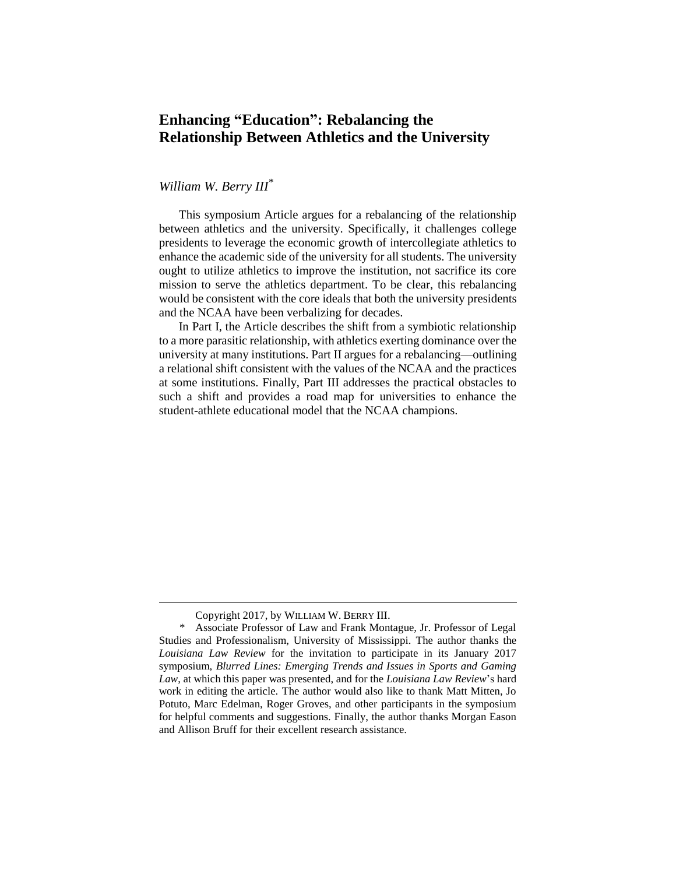# **Enhancing "Education": Rebalancing the Relationship Between Athletics and the University**

# *William W. Berry III*\*

This symposium Article argues for a rebalancing of the relationship between athletics and the university. Specifically, it challenges college presidents to leverage the economic growth of intercollegiate athletics to enhance the academic side of the university for all students. The university ought to utilize athletics to improve the institution, not sacrifice its core mission to serve the athletics department. To be clear, this rebalancing would be consistent with the core ideals that both the university presidents and the NCAA have been verbalizing for decades.

In Part I, the Article describes the shift from a symbiotic relationship to a more parasitic relationship, with athletics exerting dominance over the university at many institutions. Part II argues for a rebalancing—outlining a relational shift consistent with the values of the NCAA and the practices at some institutions. Finally, Part III addresses the practical obstacles to such a shift and provides a road map for universities to enhance the student-athlete educational model that the NCAA champions.

Copyright 2017, by WILLIAM W. BERRY III.

<sup>\*</sup> Associate Professor of Law and Frank Montague, Jr. Professor of Legal Studies and Professionalism, University of Mississippi. The author thanks the *Louisiana Law Review* for the invitation to participate in its January 2017 symposium, *Blurred Lines: Emerging Trends and Issues in Sports and Gaming Law*, at which this paper was presented, and for the *Louisiana Law Review*'s hard work in editing the article. The author would also like to thank Matt Mitten, Jo Potuto, Marc Edelman, Roger Groves, and other participants in the symposium for helpful comments and suggestions. Finally, the author thanks Morgan Eason and Allison Bruff for their excellent research assistance.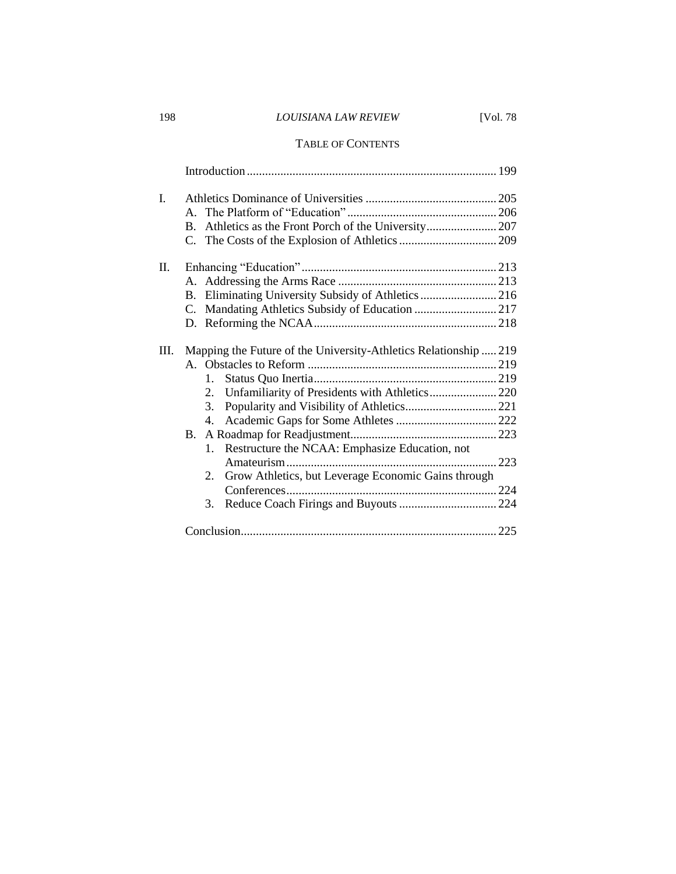# 198 *LOUISIANA LAW REVIEW* [Vol. 78

## TABLE OF CONTENTS

| I. |           |                                                                  |  |
|----|-----------|------------------------------------------------------------------|--|
|    |           |                                                                  |  |
| П. |           |                                                                  |  |
|    |           |                                                                  |  |
|    |           | B. Eliminating University Subsidy of Athletics  216              |  |
|    |           |                                                                  |  |
|    |           |                                                                  |  |
| Ш. |           | Mapping the Future of the University-Athletics Relationship  219 |  |
|    |           |                                                                  |  |
|    |           | 1.                                                               |  |
|    |           | Unfamiliarity of Presidents with Athletics 220<br>2.             |  |
|    |           | 3.                                                               |  |
|    |           | 4.                                                               |  |
|    | <b>B.</b> |                                                                  |  |
|    |           | 1. Restructure the NCAA: Emphasize Education, not                |  |
|    |           |                                                                  |  |
|    |           | 2. Grow Athletics, but Leverage Economic Gains through           |  |
|    |           |                                                                  |  |
|    |           | 3.                                                               |  |
|    |           |                                                                  |  |
|    |           |                                                                  |  |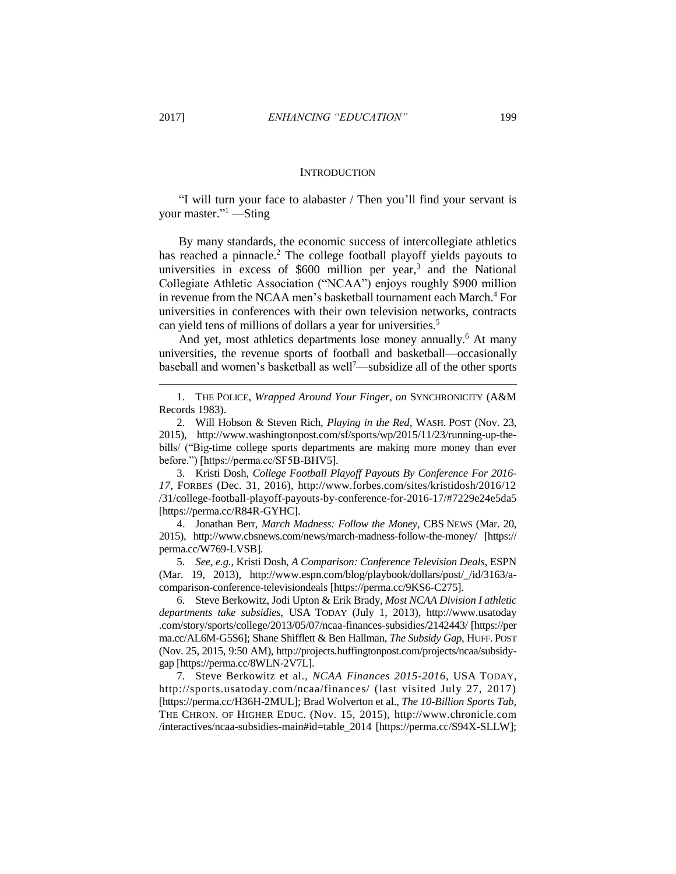$\overline{a}$ 

#### **INTRODUCTION**

"I will turn your face to alabaster / Then you'll find your servant is your master."<sup>1</sup> —Sting

By many standards, the economic success of intercollegiate athletics has reached a pinnacle.<sup>2</sup> The college football playoff yields payouts to universities in excess of  $$600$  million per year,<sup>3</sup> and the National Collegiate Athletic Association ("NCAA") enjoys roughly \$900 million in revenue from the NCAA men's basketball tournament each March.<sup>4</sup> For universities in conferences with their own television networks, contracts can yield tens of millions of dollars a year for universities.<sup>5</sup>

And yet, most athletics departments lose money annually.<sup>6</sup> At many universities, the revenue sports of football and basketball—occasionally baseball and women's basketball as well<sup>7</sup>—subsidize all of the other sports

3. Kristi Dosh, *College Football Playoff Payouts By Conference For 2016- 17*, FORBES (Dec. 31, 2016), http://www.forbes.com/sites/kristidosh/2016/12 /31/college-football-playoff-payouts-by-conference-for-2016-17/#7229e24e5da5 [https://perma.cc/R84R-GYHC].

4. Jonathan Berr, *March Madness: Follow the Money*, CBS NEWS (Mar. 20, 2015), http://www.cbsnews.com/news/march-madness-follow-the-money/ [https:// perma.cc/W769-LVSB].

5. *See, e.g.*, Kristi Dosh, *A Comparison: Conference Television Deals*, ESPN (Mar. 19, 2013), http://www.espn.com/blog/playbook/dollars/post/\_/id/3163/acomparison-conference-televisiondeals [https://perma.cc/9KS6-C275].

6. Steve Berkowitz, Jodi Upton & Erik Brady, *Most NCAA Division I athletic departments take subsidies*, USA TODAY (July 1, 2013), http://www.usatoday .com/story/sports/college/2013/05/07/ncaa-finances-subsidies/2142443/ [https://per ma.cc/AL6M-G5S6]; Shane Shifflett & Ben Hallman, *The Subsidy Gap*, HUFF. POST (Nov. 25, 2015, 9:50 AM), http://projects.huffingtonpost.com/projects/ncaa/subsidygap [https://perma.cc/8WLN-2V7L].

7. Steve Berkowitz et al., *NCAA Finances 2015-2016*, USA TODAY, http://sports.usatoday.com/ncaa/finances/ (last visited July 27, 2017) [https://perma.cc/H36H-2MUL]; Brad Wolverton et al., *The 10-Billion Sports Tab,* THE CHRON. OF HIGHER EDUC. (Nov. 15, 2015), http://www.chronicle.com /interactives/ncaa-subsidies-main#id=table\_2014 [https://perma.cc/S94X-SLLW];

<sup>1.</sup> THE POLICE, *Wrapped Around Your Finger, on* SYNCHRONICITY (A&M Records 1983).

<sup>2.</sup> Will Hobson & Steven Rich, *Playing in the Red*, WASH. POST (Nov. 23, 2015), http://www.washingtonpost.com/sf/sports/wp/2015/11/23/running-up-thebills/ ("Big-time college sports departments are making more money than ever before.") [https://perma.cc/SF5B-BHV5].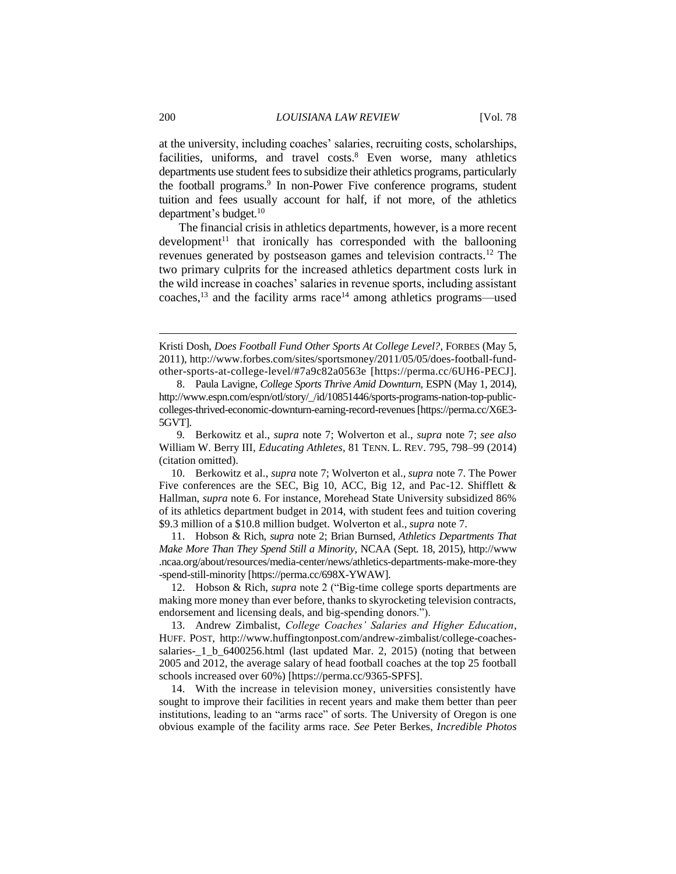at the university, including coaches' salaries, recruiting costs, scholarships, facilities, uniforms, and travel costs.<sup>8</sup> Even worse, many athletics departments use student fees to subsidize their athletics programs, particularly the football programs. 9 In non-Power Five conference programs, student tuition and fees usually account for half, if not more, of the athletics department's budget.<sup>10</sup>

The financial crisis in athletics departments, however, is a more recent  $d$ evelopment<sup>11</sup> that ironically has corresponded with the ballooning revenues generated by postseason games and television contracts.<sup>12</sup> The two primary culprits for the increased athletics department costs lurk in the wild increase in coaches' salaries in revenue sports, including assistant coaches, $^{13}$  and the facility arms race<sup>14</sup> among athletics programs—used

Kristi Dosh, *Does Football Fund Other Sports At College Level?*, FORBES (May 5, 2011), http://www.forbes.com/sites/sportsmoney/2011/05/05/does-football-fundother-sports-at-college-level/#7a9c82a0563e [https://perma.cc/6UH6-PECJ].

<sup>8.</sup> Paula Lavigne, *College Sports Thrive Amid Downturn*, ESPN (May 1, 2014), http://www.espn.com/espn/otl/story/\_/id/10851446/sports-programs-nation-top-publiccolleges-thrived-economic-downturn-earning-record-revenues [https://perma.cc/X6E3- 5GVT].

<sup>9</sup>*.* Berkowitz et al., *supra* note 7; Wolverton et al., *supra* note 7; *see also*  William W. Berry III, *Educating Athletes*, 81 TENN. L. REV. 795, 798–99 (2014) (citation omitted).

<sup>10.</sup> Berkowitz et al., *supra* note 7; Wolverton et al., *supra* note 7. The Power Five conferences are the SEC, Big 10, ACC, Big 12, and Pac-12. Shifflett & Hallman, *supra* note 6. For instance, Morehead State University subsidized 86% of its athletics department budget in 2014, with student fees and tuition covering \$9.3 million of a \$10.8 million budget. Wolverton et al., *supra* note 7.

<sup>11.</sup> Hobson & Rich, *supra* note 2; Brian Burnsed, *Athletics Departments That Make More Than They Spend Still a Minority*, NCAA (Sept. 18, 2015), http://www .ncaa.org/about/resources/media-center/news/athletics-departments-make-more-they -spend-still-minority [https://perma.cc/698X-YWAW].

<sup>12.</sup> Hobson & Rich, *supra* note 2 ("Big-time college sports departments are making more money than ever before, thanks to skyrocketing television contracts, endorsement and licensing deals, and big-spending donors.").

<sup>13.</sup> Andrew Zimbalist, *College Coaches' Salaries and Higher Education*, HUFF. POST, http://www.huffingtonpost.com/andrew-zimbalist/college-coachessalaries-\_1\_b\_6400256.html (last updated Mar. 2, 2015) (noting that between 2005 and 2012, the average salary of head football coaches at the top 25 football schools increased over 60%) [https://perma.cc/9365-SPFS].

<sup>14.</sup> With the increase in television money, universities consistently have sought to improve their facilities in recent years and make them better than peer institutions, leading to an "arms race" of sorts. The University of Oregon is one obvious example of the facility arms race. *See* Peter Berkes, *Incredible Photos*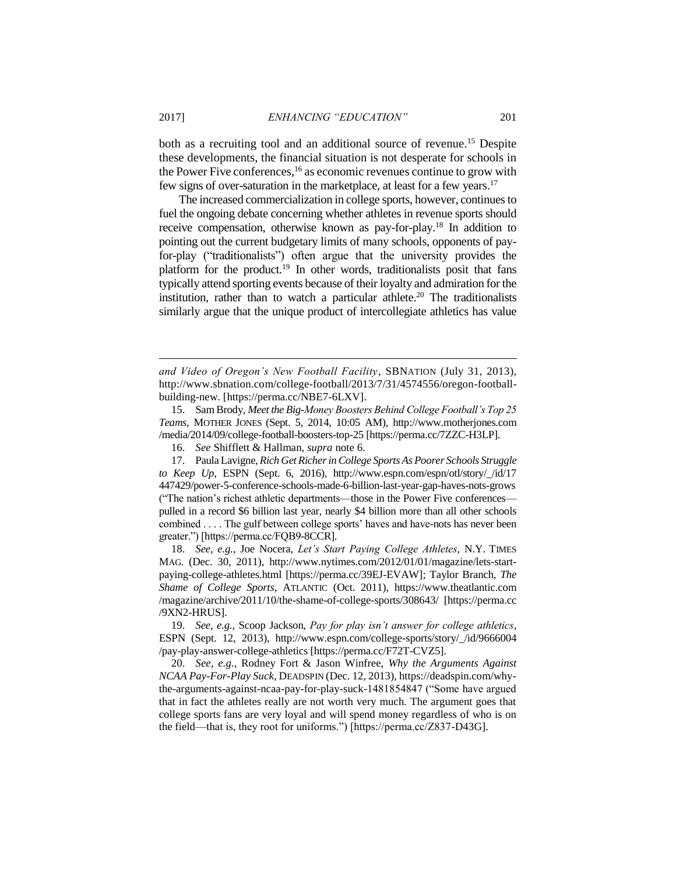both as a recruiting tool and an additional source of revenue.<sup>15</sup> Despite these developments, the financial situation is not desperate for schools in the Power Five conferences,<sup>16</sup> as economic revenues continue to grow with few signs of over-saturation in the marketplace, at least for a few years.<sup>17</sup>

The increased commercialization in college sports, however, continues to fuel the ongoing debate concerning whether athletes in revenue sports should receive compensation, otherwise known as pay-for-play.<sup>18</sup> In addition to pointing out the current budgetary limits of many schools, opponents of payfor-play ("traditionalists") often argue that the university provides the platform for the product.<sup>19</sup> In other words, traditionalists posit that fans typically attend sporting events because of their loyalty and admiration for the institution, rather than to watch a particular athlete.<sup>20</sup> The traditionalists similarly argue that the unique product of intercollegiate athletics has value

*and Video of Oregon's New Football Facility*, SBNATION (July 31, 2013), http://www.sbnation.com/college-football/2013/7/31/4574556/oregon-footballbuilding-new. [https://perma.cc/NBE7-6LXV].

15. Sam Brody, *Meet the Big-Money Boosters Behind College Football's Top 25 Teams*, MOTHER JONES (Sept. 5, 2014, 10:05 AM), http://www.motherjones.com /media/2014/09/college-football-boosters-top-25 [https://perma.cc/7ZZC-H3LP].

16. *See* Shifflett & Hallman, *supra* note 6.

17. Paula Lavigne, *Rich Get Richer in College Sports As Poorer Schools Struggle to Keep Up*, ESPN (Sept. 6, 2016), http://www.espn.com/espn/otl/story/\_/id/17 447429/power-5-conference-schools-made-6-billion-last-year-gap-haves-nots-grows ("The nation's richest athletic departments—those in the Power Five conferences pulled in a record \$6 billion last year, nearly \$4 billion more than all other schools combined . . . . The gulf between college sports' haves and have-nots has never been greater.") [https://perma.cc/FQB9-8CCR].

18. *See, e.g.*, Joe Nocera, *Let's Start Paying College Athletes*, N.Y. TIMES MAG. (Dec. 30, 2011), http://www.nytimes.com/2012/01/01/magazine/lets-startpaying-college-athletes.html [https://perma.cc/39EJ-EVAW]; Taylor Branch, *The Shame of College Sports*, ATLANTIC (Oct. 2011), https://www.theatlantic.com /magazine/archive/2011/10/the-shame-of-college-sports/308643/ [https://perma.cc /9XN2-HRUS].

19. *See, e.g.*, Scoop Jackson, *Pay for play isn't answer for college athletics*, ESPN (Sept. 12, 2013), http://www.espn.com/college-sports/story/\_/id/9666004 /pay-play-answer-college-athletics [https://perma.cc/F72T-CVZ5].

20. *See, e.g.*, Rodney Fort & Jason Winfree, *Why the Arguments Against NCAA Pay-For-Play Suck*, DEADSPIN (Dec. 12, 2013), https://deadspin.com/whythe-arguments-against-ncaa-pay-for-play-suck-1481854847 ("Some have argued that in fact the athletes really are not worth very much. The argument goes that college sports fans are very loyal and will spend money regardless of who is on the field—that is, they root for uniforms.") [https://perma.cc/Z837-D43G].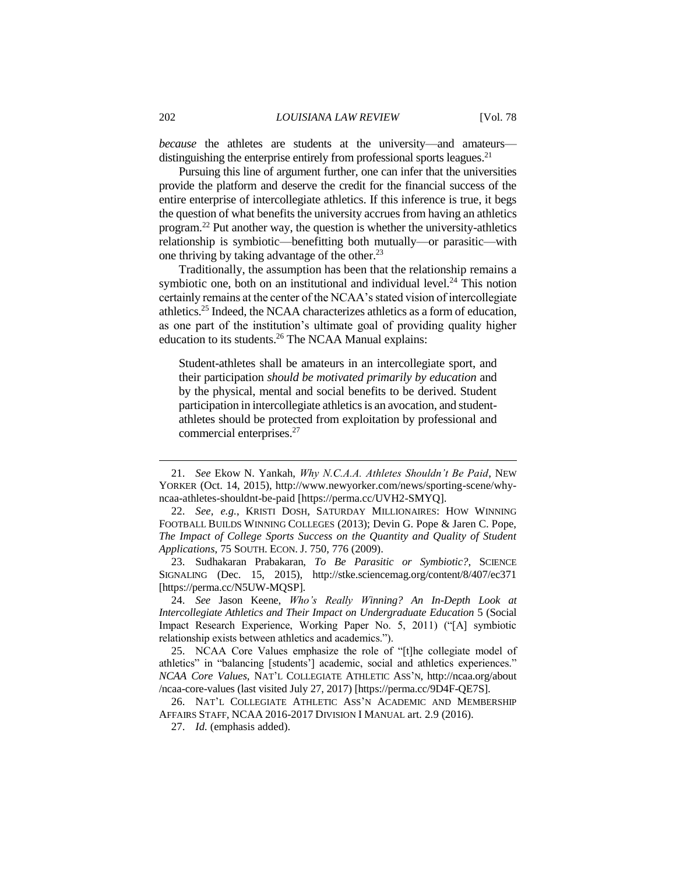*because* the athletes are students at the university—and amateurs distinguishing the enterprise entirely from professional sports leagues.<sup>21</sup>

Pursuing this line of argument further, one can infer that the universities provide the platform and deserve the credit for the financial success of the entire enterprise of intercollegiate athletics. If this inference is true, it begs the question of what benefits the university accrues from having an athletics program.<sup>22</sup> Put another way, the question is whether the university-athletics relationship is symbiotic—benefitting both mutually—or parasitic—with one thriving by taking advantage of the other.<sup>23</sup>

Traditionally, the assumption has been that the relationship remains a symbiotic one, both on an institutional and individual level. $^{24}$  This notion certainly remains at the center of the NCAA's stated vision of intercollegiate athletics.<sup>25</sup> Indeed, the NCAA characterizes athletics as a form of education, as one part of the institution's ultimate goal of providing quality higher education to its students.<sup>26</sup> The NCAA Manual explains:

Student-athletes shall be amateurs in an intercollegiate sport, and their participation *should be motivated primarily by education* and by the physical, mental and social benefits to be derived. Student participation in intercollegiate athletics is an avocation, and studentathletes should be protected from exploitation by professional and commercial enterprises. 27

<sup>21.</sup> *See* Ekow N. Yankah, *Why N.C.A.A. Athletes Shouldn't Be Paid*, NEW YORKER (Oct. 14, 2015), http://www.newyorker.com/news/sporting-scene/whyncaa-athletes-shouldnt-be-paid [https://perma.cc/UVH2-SMYQ].

<sup>22.</sup> *See, e.g.*, KRISTI DOSH, SATURDAY MILLIONAIRES: HOW WINNING FOOTBALL BUILDS WINNING COLLEGES (2013); Devin G. Pope & Jaren C. Pope, *The Impact of College Sports Success on the Quantity and Quality of Student Applications*, 75 SOUTH. ECON. J. 750, 776 (2009).

<sup>23.</sup> Sudhakaran Prabakaran, *To Be Parasitic or Symbiotic?*, SCIENCE SIGNALING (Dec. 15, 2015), http://stke.sciencemag.org/content/8/407/ec371 [https://perma.cc/N5UW-MQSP].

<sup>24.</sup> *See* Jason Keene, *Who's Really Winning? An In-Depth Look at Intercollegiate Athletics and Their Impact on Undergraduate Education* 5 (Social Impact Research Experience, Working Paper No. 5, 2011) ("[A] symbiotic relationship exists between athletics and academics.").

<sup>25.</sup> NCAA Core Values emphasize the role of "[t]he collegiate model of athletics" in "balancing [students'] academic, social and athletics experiences." *NCAA Core Values*, NAT'L COLLEGIATE ATHLETIC ASS'N, http://ncaa.org/about /ncaa-core-values (last visited July 27, 2017) [https://perma.cc/9D4F-QE7S].

<sup>26.</sup> NAT'L COLLEGIATE ATHLETIC ASS'N ACADEMIC AND MEMBERSHIP AFFAIRS STAFF, NCAA 2016-2017 DIVISION I MANUAL art. 2.9 (2016).

<sup>27.</sup> *Id.* (emphasis added).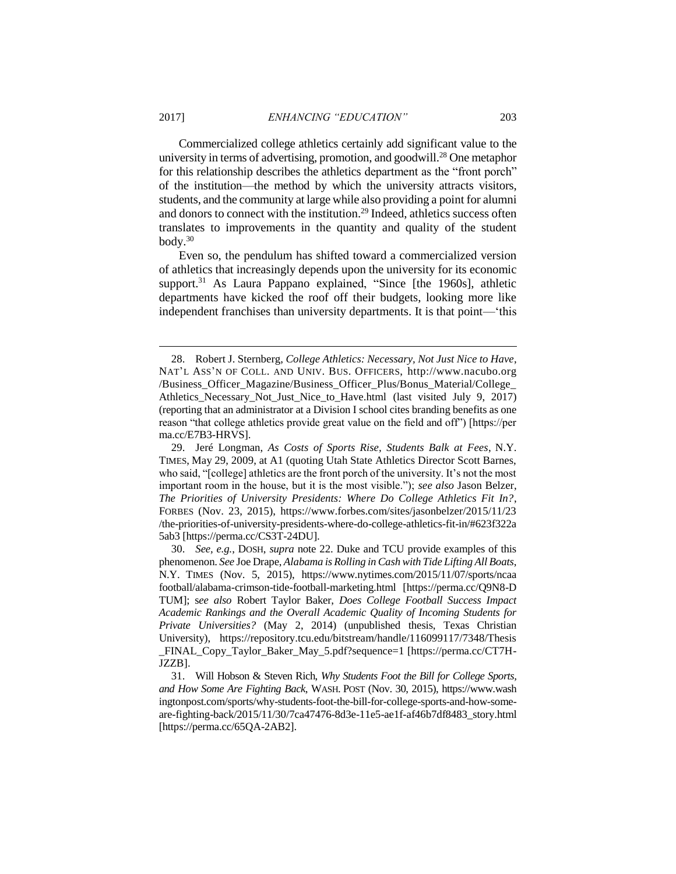Commercialized college athletics certainly add significant value to the university in terms of advertising, promotion, and goodwill.<sup>28</sup> One metaphor for this relationship describes the athletics department as the "front porch" of the institution—the method by which the university attracts visitors, students, and the community at large while also providing a point for alumni and donors to connect with the institution.<sup>29</sup> Indeed, athletics success often translates to improvements in the quantity and quality of the student body.<sup>30</sup>

Even so, the pendulum has shifted toward a commercialized version of athletics that increasingly depends upon the university for its economic support.<sup>31</sup> As Laura Pappano explained, "Since [the 1960s], athletic departments have kicked the roof off their budgets, looking more like independent franchises than university departments. It is that point—'this

<sup>28.</sup> Robert J. Sternberg, *College Athletics: Necessary, Not Just Nice to Have*, NAT'L ASS'N OF COLL. AND UNIV. BUS. OFFICERS, http://www.nacubo.org /Business\_Officer\_Magazine/Business\_Officer\_Plus/Bonus\_Material/College\_ Athletics\_Necessary\_Not\_Just\_Nice\_to\_Have.html (last visited July 9, 2017) (reporting that an administrator at a Division I school cites branding benefits as one reason "that college athletics provide great value on the field and off") [https://per ma.cc/E7B3-HRVS].

<sup>29.</sup> Jeré Longman, *As Costs of Sports Rise, Students Balk at Fees*, N.Y. TIMES, May 29, 2009, at A1 (quoting Utah State Athletics Director Scott Barnes, who said, "[college] athletics are the front porch of the university. It's not the most important room in the house, but it is the most visible."); *see also* Jason Belzer, *The Priorities of University Presidents: Where Do College Athletics Fit In?*, FORBES (Nov. 23, 2015), https://www.forbes.com/sites/jasonbelzer/2015/11/23 /the-priorities-of-university-presidents-where-do-college-athletics-fit-in/#623f322a 5ab3 [https://perma.cc/CS3T-24DU].

<sup>30.</sup> *See, e.g.*, DOSH, *supra* note 22. Duke and TCU provide examples of this phenomenon. *See* Joe Drape, *Alabama is Rolling in Cash with Tide Lifting All Boats*, N.Y. TIMES (Nov. 5, 2015), https://www.nytimes.com/2015/11/07/sports/ncaa football/alabama-crimson-tide-football-marketing.html [https://perma.cc/Q9N8-D TUM]; s*ee also* Robert Taylor Baker, *Does College Football Success Impact Academic Rankings and the Overall Academic Quality of Incoming Students for Private Universities?* (May 2, 2014) (unpublished thesis, Texas Christian University), https://repository.tcu.edu/bitstream/handle/116099117/7348/Thesis \_FINAL\_Copy\_Taylor\_Baker\_May\_5.pdf?sequence=1 [https://perma.cc/CT7H-JZZB].

<sup>31.</sup> Will Hobson & Steven Rich, *Why Students Foot the Bill for College Sports, and How Some Are Fighting Back*, WASH. POST (Nov. 30, 2015), https://www.wash ingtonpost.com/sports/why-students-foot-the-bill-for-college-sports-and-how-someare-fighting-back/2015/11/30/7ca47476-8d3e-11e5-ae1f-af46b7df8483\_story.html [https://perma.cc/65QA-2AB2].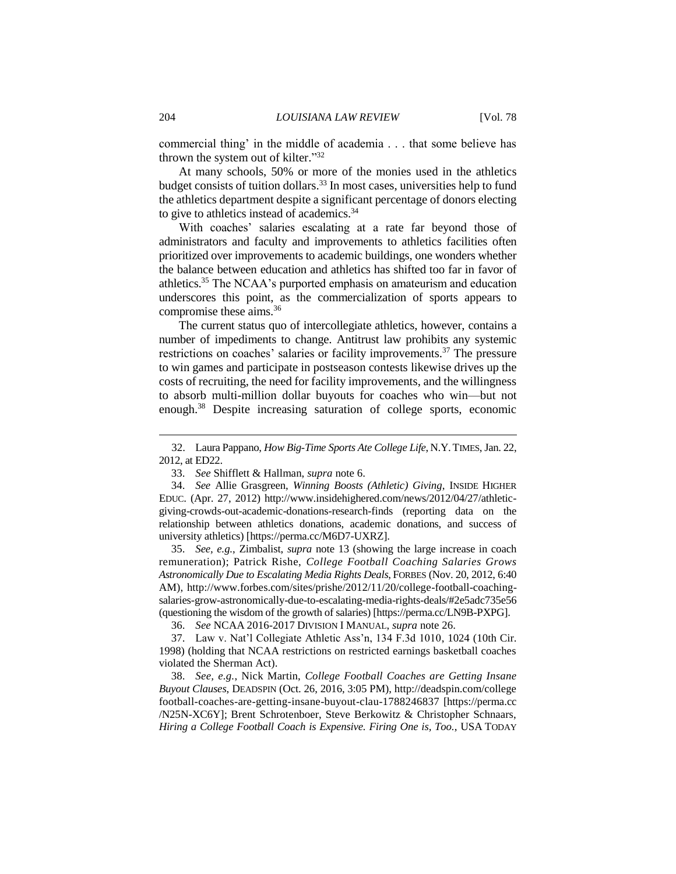commercial thing' in the middle of academia . . . that some believe has thrown the system out of kilter." 32

At many schools, 50% or more of the monies used in the athletics budget consists of tuition dollars.<sup>33</sup> In most cases, universities help to fund the athletics department despite a significant percentage of donors electing to give to athletics instead of academics.<sup>34</sup>

With coaches' salaries escalating at a rate far beyond those of administrators and faculty and improvements to athletics facilities often prioritized over improvements to academic buildings, one wonders whether the balance between education and athletics has shifted too far in favor of athletics.<sup>35</sup> The NCAA's purported emphasis on amateurism and education underscores this point, as the commercialization of sports appears to compromise these aims. 36

The current status quo of intercollegiate athletics, however, contains a number of impediments to change. Antitrust law prohibits any systemic restrictions on coaches' salaries or facility improvements.<sup>37</sup> The pressure to win games and participate in postseason contests likewise drives up the costs of recruiting, the need for facility improvements, and the willingness to absorb multi-million dollar buyouts for coaches who win—but not enough.<sup>38</sup> Despite increasing saturation of college sports, economic

35. *See, e.g.*, Zimbalist, *supra* note 13 (showing the large increase in coach remuneration); Patrick Rishe, *College Football Coaching Salaries Grows Astronomically Due to Escalating Media Rights Deals*, FORBES (Nov. 20, 2012, 6:40 AM), http://www.forbes.com/sites/prishe/2012/11/20/college-football-coachingsalaries-grow-astronomically-due-to-escalating-media-rights-deals/#2e5adc735e56 (questioning the wisdom of the growth of salaries) [https://perma.cc/LN9B-PXPG].

36. *See* NCAA 2016-2017 DIVISION I MANUAL, *supra* note 26.

37. Law v. Nat'l Collegiate Athletic Ass'n, 134 F.3d 1010, 1024 (10th Cir. 1998) (holding that NCAA restrictions on restricted earnings basketball coaches violated the Sherman Act).

38. *See, e.g.*, Nick Martin, *College Football Coaches are Getting Insane Buyout Clauses*, DEADSPIN (Oct. 26, 2016, 3:05 PM), http://deadspin.com/college football-coaches-are-getting-insane-buyout-clau-1788246837 [https://perma.cc /N25N-XC6Y]; Brent Schrotenboer, Steve Berkowitz & Christopher Schnaars, *Hiring a College Football Coach is Expensive. Firing One is, Too.*, USA TODAY

<sup>32.</sup> Laura Pappano, *How Big-Time Sports Ate College Life*, N.Y.TIMES, Jan. 22, 2012, at ED22.

<sup>33.</sup> *See* Shifflett & Hallman, *supra* note 6.

<sup>34.</sup> *See* Allie Grasgreen, *Winning Boosts (Athletic) Giving*, INSIDE HIGHER EDUC. (Apr. 27, 2012) http://www.insidehighered.com/news/2012/04/27/athleticgiving-crowds-out-academic-donations-research-finds (reporting data on the relationship between athletics donations, academic donations, and success of university athletics) [https://perma.cc/M6D7-UXRZ].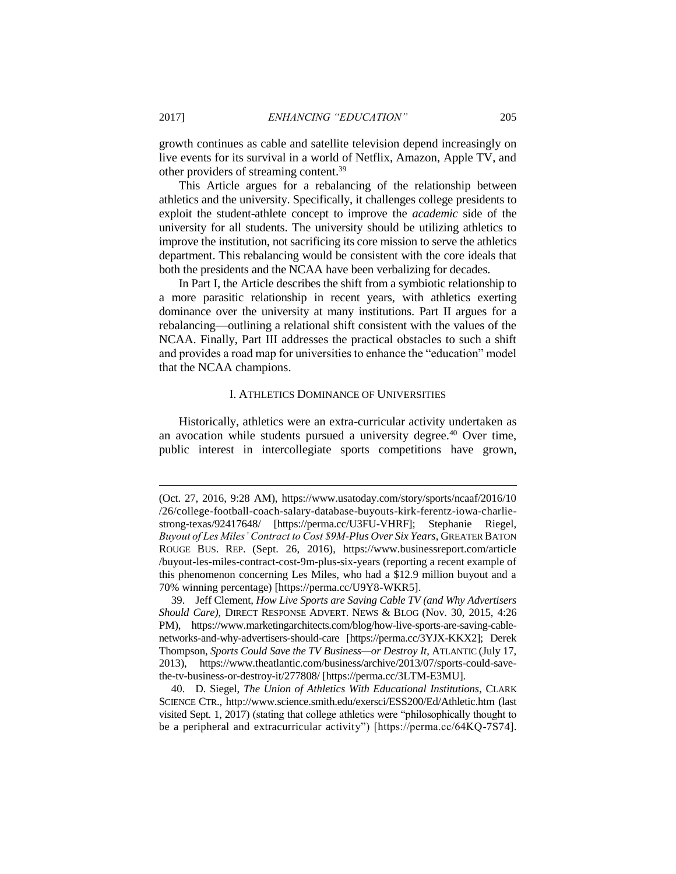growth continues as cable and satellite television depend increasingly on live events for its survival in a world of Netflix, Amazon, Apple TV, and other providers of streaming content.<sup>39</sup>

This Article argues for a rebalancing of the relationship between athletics and the university. Specifically, it challenges college presidents to exploit the student-athlete concept to improve the *academic* side of the university for all students. The university should be utilizing athletics to improve the institution, not sacrificing its core mission to serve the athletics department. This rebalancing would be consistent with the core ideals that both the presidents and the NCAA have been verbalizing for decades.

In Part I, the Article describes the shift from a symbiotic relationship to a more parasitic relationship in recent years, with athletics exerting dominance over the university at many institutions. Part II argues for a rebalancing—outlining a relational shift consistent with the values of the NCAA. Finally, Part III addresses the practical obstacles to such a shift and provides a road map for universities to enhance the "education" model that the NCAA champions.

#### I. ATHLETICS DOMINANCE OF UNIVERSITIES

Historically, athletics were an extra-curricular activity undertaken as an avocation while students pursued a university degree.<sup>40</sup> Over time, public interest in intercollegiate sports competitions have grown,

<sup>(</sup>Oct. 27, 2016, 9:28 AM), https://www.usatoday.com/story/sports/ncaaf/2016/10 /26/college-football-coach-salary-database-buyouts-kirk-ferentz-iowa-charliestrong-texas/92417648/ [https://perma.cc/U3FU-VHRF]; Stephanie Riegel, *Buyout of Les Miles' Contract to Cost \$9M-Plus Over Six Years*, GREATER BATON ROUGE BUS. REP. (Sept. 26, 2016), https://www.businessreport.com/article /buyout-les-miles-contract-cost-9m-plus-six-years (reporting a recent example of this phenomenon concerning Les Miles, who had a \$12.9 million buyout and a 70% winning percentage) [https://perma.cc/U9Y8-WKR5].

<sup>39.</sup> Jeff Clement, *How Live Sports are Saving Cable TV (and Why Advertisers Should Care)*, DIRECT RESPONSE ADVERT. NEWS & BLOG (Nov. 30, 2015, 4:26 PM), https://www.marketingarchitects.com/blog/how-live-sports-are-saving-cablenetworks-and-why-advertisers-should-care [https://perma.cc/3YJX-KKX2]; Derek Thompson, *Sports Could Save the TV Business—or Destroy It*, ATLANTIC (July 17, 2013), https://www.theatlantic.com/business/archive/2013/07/sports-could-savethe-tv-business-or-destroy-it/277808/ [https://perma.cc/3LTM-E3MU].

<sup>40.</sup> D. Siegel, *The Union of Athletics With Educational Institutions*, CLARK SCIENCE CTR., http://www.science.smith.edu/exersci/ESS200/Ed/Athletic.htm (last visited Sept. 1, 2017) (stating that college athletics were "philosophically thought to be a peripheral and extracurricular activity") [https://perma.cc/64KQ-7S74].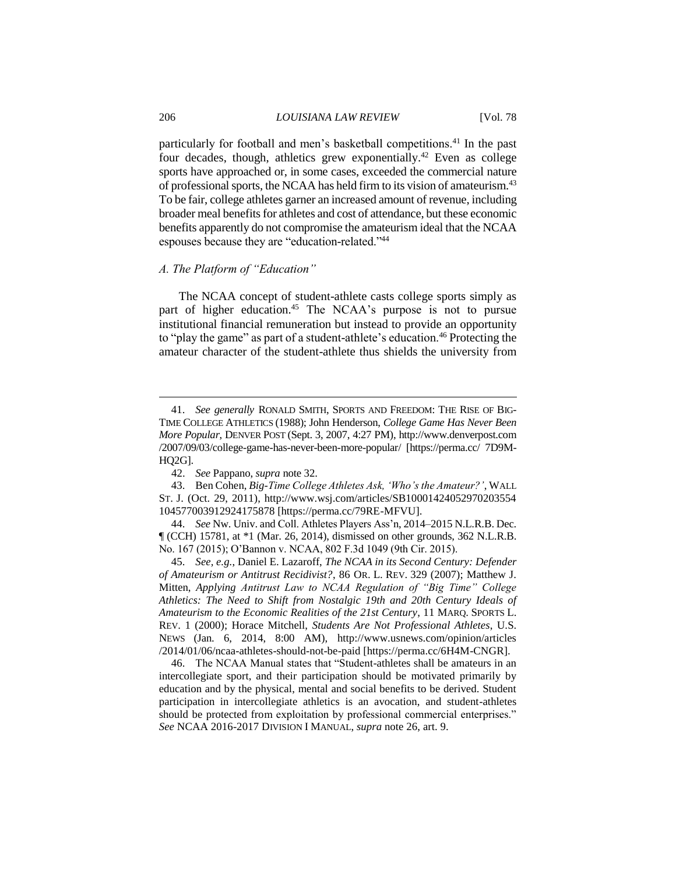particularly for football and men's basketball competitions.<sup>41</sup> In the past four decades, though, athletics grew exponentially.<sup>42</sup> Even as college sports have approached or, in some cases, exceeded the commercial nature of professional sports, the NCAA has held firm to its vision of amateurism.<sup>43</sup> To be fair, college athletes garner an increased amount of revenue, including broader meal benefits for athletes and cost of attendance, but these economic benefits apparently do not compromise the amateurism ideal that the NCAA espouses because they are "education-related."<sup>44</sup>

## *A. The Platform of "Education"*

The NCAA concept of student-athlete casts college sports simply as part of higher education.<sup>45</sup> The NCAA's purpose is not to pursue institutional financial remuneration but instead to provide an opportunity to "play the game" as part of a student-athlete's education.<sup>46</sup> Protecting the amateur character of the student-athlete thus shields the university from

<sup>41.</sup> *See generally* RONALD SMITH, SPORTS AND FREEDOM: THE RISE OF BIG-TIME COLLEGE ATHLETICS (1988); John Henderson, *College Game Has Never Been More Popular*, DENVER POST (Sept. 3, 2007, 4:27 PM), http://www.denverpost.com /2007/09/03/college-game-has-never-been-more-popular/ [https://perma.cc/ 7D9M-HQ2G].

<sup>42.</sup> *See* Pappano, *supra* note 32.

<sup>43.</sup> Ben Cohen, *Big-Time College Athletes Ask, 'Who's the Amateur?'*, WALL ST. J. (Oct. 29, 2011), http://www.wsj.com/articles/SB10001424052970203554 104577003912924175878 [https://perma.cc/79RE-MFVU].

<sup>44.</sup> *See* Nw. Univ. and Coll. Athletes Players Ass'n, 2014–2015 N.L.R.B. Dec. ¶ (CCH) 15781, at \*1 (Mar. 26, 2014), dismissed on other grounds, 362 N.L.R.B. No. 167 (2015); O'Bannon v. NCAA, 802 F.3d 1049 (9th Cir. 2015).

<sup>45.</sup> *See, e.g.*, Daniel E. Lazaroff, *The NCAA in its Second Century: Defender of Amateurism or Antitrust Recidivist?*, 86 OR. L. REV. 329 (2007); Matthew J. Mitten, *Applying Antitrust Law to NCAA Regulation of "Big Time" College Athletics: The Need to Shift from Nostalgic 19th and 20th Century Ideals of Amateurism to the Economic Realities of the 21st Century*, 11 MARQ. SPORTS L. REV. 1 (2000); Horace Mitchell, *Students Are Not Professional Athletes*, U.S. NEWS (Jan. 6, 2014, 8:00 AM), http://www.usnews.com/opinion/articles /2014/01/06/ncaa-athletes-should-not-be-paid [https://perma.cc/6H4M-CNGR].

<sup>46.</sup> The NCAA Manual states that "Student-athletes shall be amateurs in an intercollegiate sport, and their participation should be motivated primarily by education and by the physical, mental and social benefits to be derived. Student participation in intercollegiate athletics is an avocation, and student-athletes should be protected from exploitation by professional commercial enterprises." *See* NCAA 2016-2017 DIVISION I MANUAL, *supra* note 26, art. 9.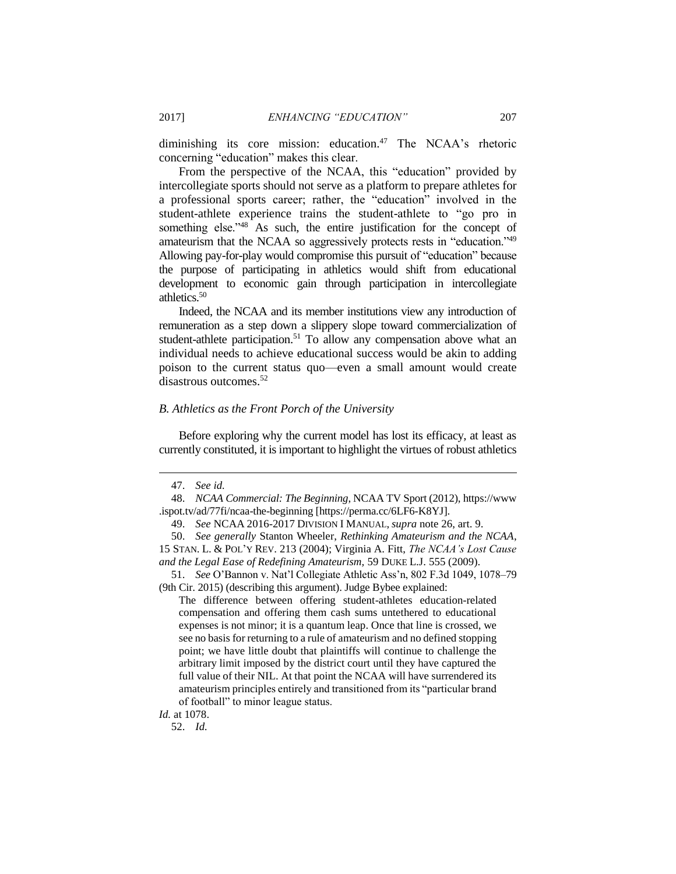diminishing its core mission: education.<sup>47</sup> The NCAA's rhetoric concerning "education" makes this clear.

From the perspective of the NCAA, this "education" provided by intercollegiate sports should not serve as a platform to prepare athletes for a professional sports career; rather, the "education" involved in the student-athlete experience trains the student-athlete to "go pro in something else."<sup>48</sup> As such, the entire justification for the concept of amateurism that the NCAA so aggressively protects rests in "education."<sup>49</sup> Allowing pay-for-play would compromise this pursuit of "education" because the purpose of participating in athletics would shift from educational development to economic gain through participation in intercollegiate athletics.<sup>50</sup>

Indeed, the NCAA and its member institutions view any introduction of remuneration as a step down a slippery slope toward commercialization of student-athlete participation.<sup>51</sup> To allow any compensation above what an individual needs to achieve educational success would be akin to adding poison to the current status quo—even a small amount would create disastrous outcomes.<sup>52</sup>

#### *B. Athletics as the Front Porch of the University*

Before exploring why the current model has lost its efficacy, at least as currently constituted, it is important to highlight the virtues of robust athletics

<sup>47.</sup> *See id.*

<sup>48.</sup> *NCAA Commercial: The Beginning*, NCAA TV Sport (2012), https://www .ispot.tv/ad/77fi/ncaa-the-beginning [https://perma.cc/6LF6-K8YJ].

<sup>49.</sup> *See* NCAA 2016-2017 DIVISION I MANUAL, *supra* note 26, art. 9.

<sup>50.</sup> *See generally* Stanton Wheeler, *Rethinking Amateurism and the NCAA*, 15 STAN. L. & POL'Y REV. 213 (2004); Virginia A. Fitt, *The NCAA's Lost Cause and the Legal Ease of Redefining Amateurism,* 59 DUKE L.J. 555 (2009).

<sup>51.</sup> *See* O'Bannon v. Nat'l Collegiate Athletic Ass'n, 802 F.3d 1049, 1078–79 (9th Cir. 2015) (describing this argument). Judge Bybee explained:

The difference between offering student-athletes education-related compensation and offering them cash sums untethered to educational expenses is not minor; it is a quantum leap. Once that line is crossed, we see no basis for returning to a rule of amateurism and no defined stopping point; we have little doubt that plaintiffs will continue to challenge the arbitrary limit imposed by the district court until they have captured the full value of their NIL. At that point the NCAA will have surrendered its amateurism principles entirely and transitioned from its "particular brand of football" to minor league status.

*Id.* at 1078.

<sup>52.</sup> *Id.*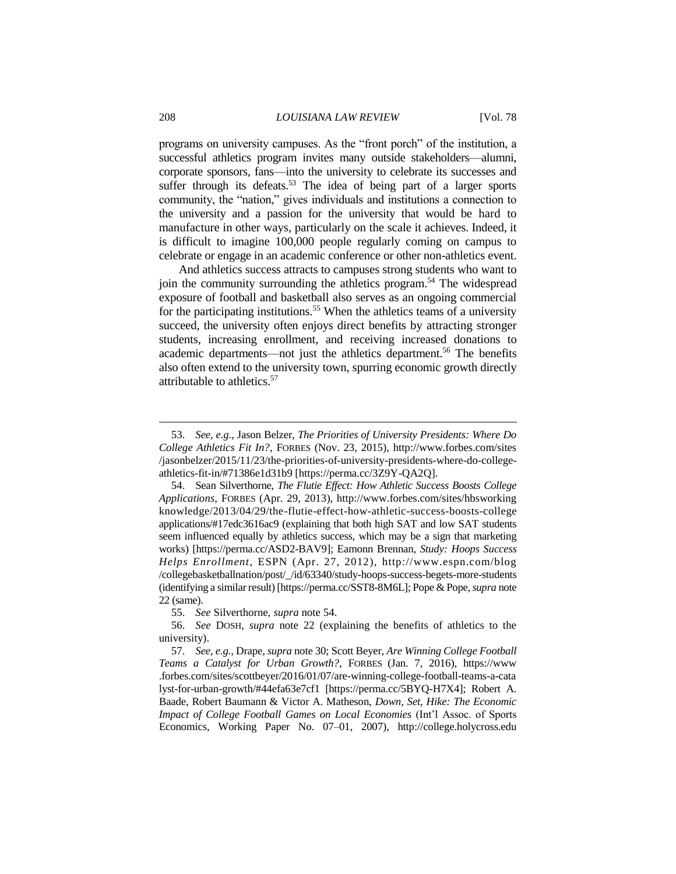programs on university campuses. As the "front porch" of the institution, a successful athletics program invites many outside stakeholders—alumni, corporate sponsors, fans—into the university to celebrate its successes and suffer through its defeats.<sup>53</sup> The idea of being part of a larger sports community, the "nation," gives individuals and institutions a connection to the university and a passion for the university that would be hard to manufacture in other ways, particularly on the scale it achieves. Indeed, it is difficult to imagine 100,000 people regularly coming on campus to celebrate or engage in an academic conference or other non-athletics event.

And athletics success attracts to campuses strong students who want to join the community surrounding the athletics program.<sup>54</sup> The widespread exposure of football and basketball also serves as an ongoing commercial for the participating institutions.<sup>55</sup> When the athletics teams of a university succeed, the university often enjoys direct benefits by attracting stronger students, increasing enrollment, and receiving increased donations to academic departments—not just the athletics department. <sup>56</sup> The benefits also often extend to the university town, spurring economic growth directly attributable to athletics.<sup>57</sup>

<sup>53.</sup> *See, e.g.*, Jason Belzer, *The Priorities of University Presidents: Where Do College Athletics Fit In?*, FORBES (Nov. 23, 2015), http://www.forbes.com/sites /jasonbelzer/2015/11/23/the-priorities-of-university-presidents-where-do-collegeathletics-fit-in/#71386e1d31b9 [https://perma.cc/3Z9Y-QA2Q].

<sup>54.</sup> Sean Silverthorne, *The Flutie Effect: How Athletic Success Boosts College Applications*, FORBES (Apr. 29, 2013), http://www.forbes.com/sites/hbsworking knowledge/2013/04/29/the-flutie-effect-how-athletic-success-boosts-college applications/#17edc3616ac9 (explaining that both high SAT and low SAT students seem influenced equally by athletics success, which may be a sign that marketing works) [https://perma.cc/ASD2-BAV9]; Eamonn Brennan, *Study: Hoops Success Helps Enrollment*, ESPN (Apr. 27, 2012), http://www.espn.com/blog /collegebasketballnation/post/\_/id/63340/study-hoops-success-begets-more-students (identifying a similar result) [https://perma.cc/SST8-8M6L]; Pope & Pope, *supra* note 22 (same).

<sup>55.</sup> *See* Silverthorne, *supra* note 54.

<sup>56.</sup> *See* DOSH, *supra* note 22 (explaining the benefits of athletics to the university).

<sup>57.</sup> *See, e.g.*, Drape, *supra* note 30; Scott Beyer, *Are Winning College Football Teams a Catalyst for Urban Growth?*, FORBES (Jan. 7, 2016), https://www .forbes.com/sites/scottbeyer/2016/01/07/are-winning-college-football-teams-a-cata lyst-for-urban-growth/#44efa63e7cf1 [https://perma.cc/5BYQ-H7X4]; Robert A. Baade, Robert Baumann & Victor A. Matheson, *Down, Set, Hike: The Economic Impact of College Football Games on Local Economies* (Int'l Assoc. of Sports Economics, Working Paper No. 07–01, 2007), [http://college.holycross.edu](http://college.holycross.edu/RePEc/spe/BaadeBaumannMatheson_CollegeFootball.pdf)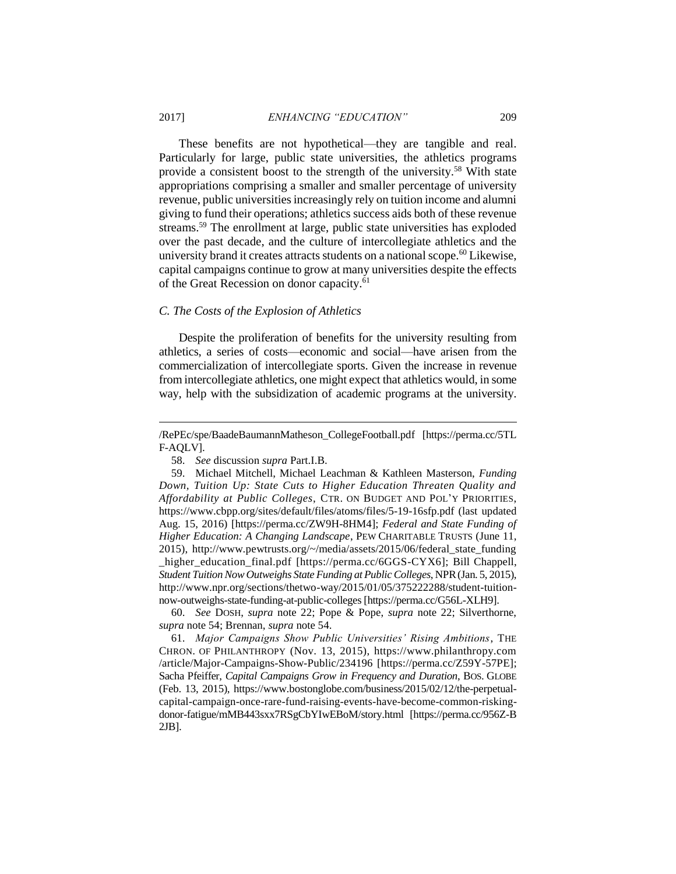These benefits are not hypothetical—they are tangible and real. Particularly for large, public state universities, the athletics programs provide a consistent boost to the strength of the university.<sup>58</sup> With state appropriations comprising a smaller and smaller percentage of university revenue, public universities increasingly rely on tuition income and alumni giving to fund their operations; athletics success aids both of these revenue streams.<sup>59</sup> The enrollment at large, public state universities has exploded over the past decade, and the culture of intercollegiate athletics and the university brand it creates attracts students on a national scope.<sup>60</sup> Likewise, capital campaigns continue to grow at many universities despite the effects of the Great Recession on donor capacity.<sup>61</sup>

#### *C. The Costs of the Explosion of Athletics*

Despite the proliferation of benefits for the university resulting from athletics, a series of costs—economic and social—have arisen from the commercialization of intercollegiate sports. Given the increase in revenue from intercollegiate athletics, one might expect that athletics would, in some way, help with the subsidization of academic programs at the university.

60. *See* DOSH, *supra* note 22; Pope & Pope, *supra* note 22; Silverthorne, *supra* note 54; Brennan, *supra* note 54.

61. *Major Campaigns Show Public Universities' Rising Ambitions*, THE CHRON. OF PHILANTHROPY (Nov. 13, 2015), https://www.philanthropy.com /article/Major-Campaigns-Show-Public/234196 [https://perma.cc/Z59Y-57PE]; Sacha Pfeiffer, *Capital Campaigns Grow in Frequency and Duration*, BOS. GLOBE (Feb. 13, 2015), https://www.bostonglobe.com/business/2015/02/12/the-perpetualcapital-campaign-once-rare-fund-raising-events-have-become-common-riskingdonor-fatigue/mMB443sxx7RSgCbYIwEBoM/story.html [https://perma.cc/956Z-B 2JB].

[<sup>/</sup>RePEc/spe/BaadeBaumannMatheson\\_CollegeFootball.pdf](http://college.holycross.edu/RePEc/spe/BaadeBaumannMatheson_CollegeFootball.pdf) [https://perma.cc/5TL F-AQLV].

<sup>58.</sup> *See* discussion *supra* Part.I.B.

<sup>59.</sup> Michael Mitchell, Michael Leachman & Kathleen Masterson, *Funding Down, Tuition Up: State Cuts to Higher Education Threaten Quality and Affordability at Public Colleges*, CTR. ON BUDGET AND POL'Y PRIORITIES, https://www.cbpp.org/sites/default/files/atoms/files/5-19-16sfp.pdf (last updated Aug. 15, 2016) [https://perma.cc/ZW9H-8HM4]; *Federal and State Funding of Higher Education: A Changing Landscape*, PEW CHARITABLE TRUSTS (June 11, 2015), http://www.pewtrusts.org/~/media/assets/2015/06/federal\_state\_funding \_higher\_education\_final.pdf [https://perma.cc/6GGS-CYX6]; Bill Chappell, *Student Tuition Now Outweighs State Funding at Public Colleges*, NPR(Jan. 5, 2015), http://www.npr.org/sections/thetwo-way/2015/01/05/375222288/student-tuitionnow-outweighs-state-funding-at-public-colleges [https://perma.cc/G56L-XLH9].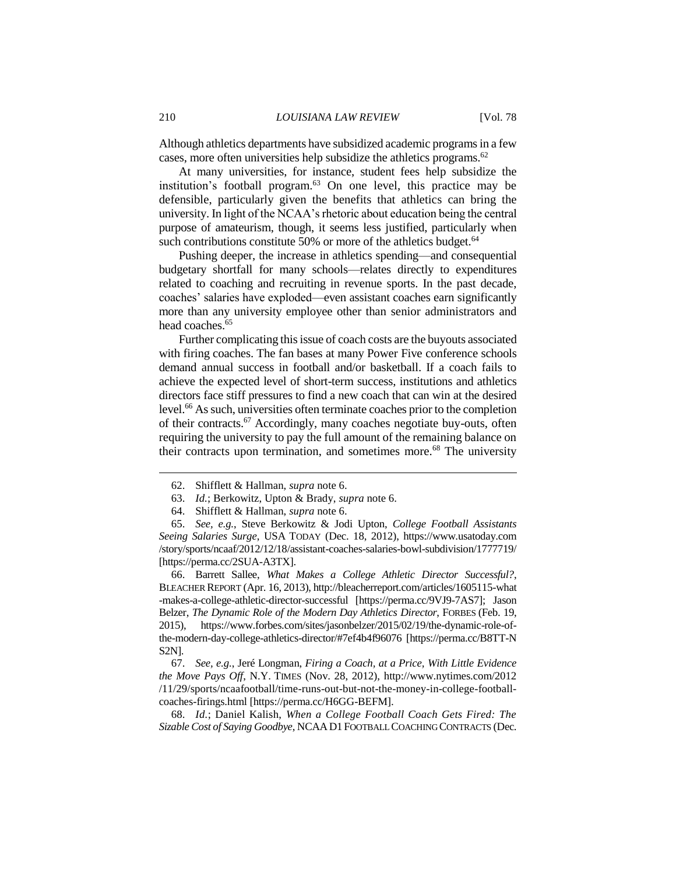Although athletics departments have subsidized academic programsin a few cases, more often universities help subsidize the athletics programs. 62

At many universities, for instance, student fees help subsidize the institution's football program. $63$  On one level, this practice may be defensible, particularly given the benefits that athletics can bring the university. In light of the NCAA's rhetoric about education being the central purpose of amateurism, though, it seems less justified, particularly when such contributions constitute 50% or more of the athletics budget. $64$ 

Pushing deeper, the increase in athletics spending—and consequential budgetary shortfall for many schools—relates directly to expenditures related to coaching and recruiting in revenue sports. In the past decade, coaches' salaries have exploded—even assistant coaches earn significantly more than any university employee other than senior administrators and head coaches.<sup>65</sup>

Further complicating this issue of coach costs are the buyouts associated with firing coaches. The fan bases at many Power Five conference schools demand annual success in football and/or basketball. If a coach fails to achieve the expected level of short-term success, institutions and athletics directors face stiff pressures to find a new coach that can win at the desired level.<sup>66</sup> As such, universities often terminate coaches prior to the completion of their contracts.<sup>67</sup> Accordingly, many coaches negotiate buy-outs, often requiring the university to pay the full amount of the remaining balance on their contracts upon termination, and sometimes more.<sup>68</sup> The university

66. Barrett Sallee, *What Makes a College Athletic Director Successful?*, BLEACHER REPORT (Apr. 16, 2013)[, http://bleacherreport.com/articles/1605115-what](http://bleacherreport.com/articles/1605115-what-makes-a-college-athletic-director-successful) [-makes-a-college-athletic-director-successful](http://bleacherreport.com/articles/1605115-what-makes-a-college-athletic-director-successful) [https://perma.cc/9VJ9-7AS7]; Jason Belzer, *The Dynamic Role of the Modern Day Athletics Director*, FORBES (Feb. 19, 2015), https://www.forbes.com/sites/jasonbelzer/2015/02/19/the-dynamic-role-ofthe-modern-day-college-athletics-director/#7ef4b4f96076 [https://perma.cc/B8TT-N S2N].

67. *See, e.g.*, Jeré Longman, *Firing a Coach, at a Price, With Little Evidence the Move Pays Off*, N.Y. TIMES (Nov. 28, 2012), http://www.nytimes.com/2012 /11/29/sports/ncaafootball/time-runs-out-but-not-the-money-in-college-footballcoaches-firings.html [https://perma.cc/H6GG-BEFM].

68. *Id.*; Daniel Kalish, *When a College Football Coach Gets Fired: The Sizable Cost of Saying Goodbye*, NCAAD1 FOOTBALL COACHING CONTRACTS (Dec.

<sup>62.</sup> Shifflett & Hallman, *supra* note 6.

<sup>63.</sup> *Id.*; Berkowitz, Upton & Brady, *supra* note 6.

<sup>64.</sup> Shifflett & Hallman, *supra* note 6.

<sup>65.</sup> *See, e.g.*, Steve Berkowitz & Jodi Upton, *College Football Assistants Seeing Salaries Surge*, USA TODAY (Dec. 18, 2012), https://www.usatoday.com /story/sports/ncaaf/2012/12/18/assistant-coaches-salaries-bowl-subdivision/1777719/ [https://perma.cc/2SUA-A3TX].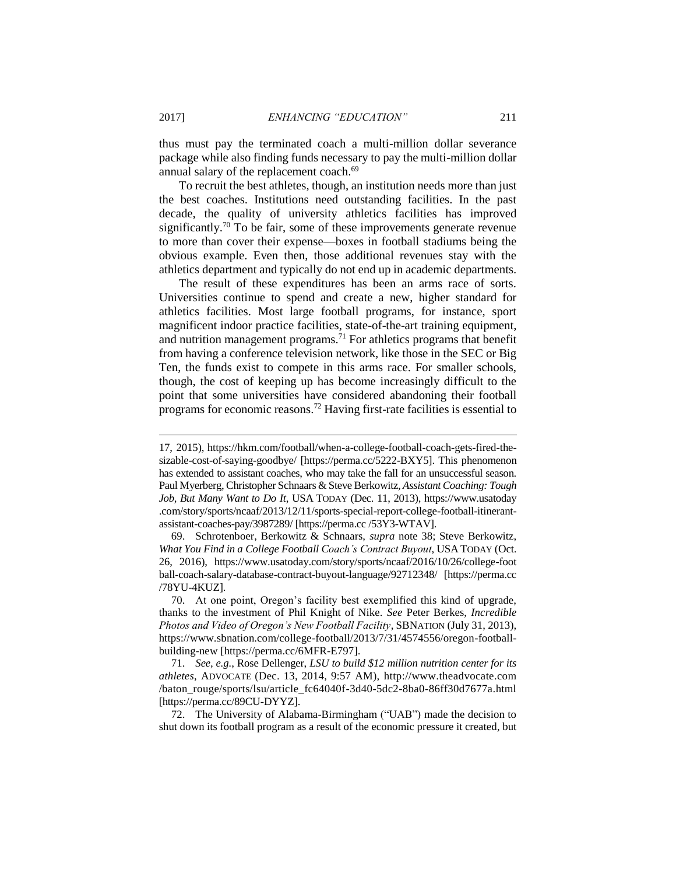thus must pay the terminated coach a multi-million dollar severance package while also finding funds necessary to pay the multi-million dollar annual salary of the replacement coach.<sup>69</sup>

To recruit the best athletes, though, an institution needs more than just the best coaches. Institutions need outstanding facilities. In the past decade, the quality of university athletics facilities has improved significantly.<sup>70</sup> To be fair, some of these improvements generate revenue to more than cover their expense—boxes in football stadiums being the obvious example. Even then, those additional revenues stay with the athletics department and typically do not end up in academic departments.

The result of these expenditures has been an arms race of sorts. Universities continue to spend and create a new, higher standard for athletics facilities. Most large football programs, for instance, sport magnificent indoor practice facilities, state-of-the-art training equipment, and nutrition management programs.<sup>71</sup> For athletics programs that benefit from having a conference television network, like those in the SEC or Big Ten, the funds exist to compete in this arms race. For smaller schools, though, the cost of keeping up has become increasingly difficult to the point that some universities have considered abandoning their football programs for economic reasons.<sup>72</sup> Having first-rate facilities is essential to

<sup>17, 2015),</sup> https://hkm.com/football/when-a-college-football-coach-gets-fired-thesizable-cost-of-saying-goodbye/ [https://perma.cc/5222-BXY5]. This phenomenon has extended to assistant coaches, who may take the fall for an unsuccessful season. Paul Myerberg, Christopher Schnaars & Steve Berkowitz, *Assistant Coaching: Tough Job, But Many Want to Do It*, USA TODAY (Dec. 11, 2013), https://www.usatoday .com/story/sports/ncaaf/2013/12/11/sports-special-report-college-football-itinerantassistant-coaches-pay/3987289/ [https://perma.cc /53Y3-WTAV].

<sup>69.</sup> Schrotenboer, Berkowitz & Schnaars, *supra* note 38; Steve Berkowitz, *What You Find in a College Football Coach's Contract Buyout*, USA TODAY (Oct. 26, 2016), https://www.usatoday.com/story/sports/ncaaf/2016/10/26/college-foot ball-coach-salary-database-contract-buyout-language/92712348/ [https://perma.cc /78YU-4KUZ].

<sup>70.</sup> At one point, Oregon's facility best exemplified this kind of upgrade, thanks to the investment of Phil Knight of Nike. *See* Peter Berkes, *Incredible Photos and Video of Oregon's New Football Facility*, SBNATION (July 31, 2013), https://www.sbnation.com/college-football/2013/7/31/4574556/oregon-footballbuilding-new [https://perma.cc/6MFR-E797].

<sup>71.</sup> *See, e.g.*, Rose Dellenger, *LSU to build \$12 million nutrition center for its athletes*, ADVOCATE (Dec. 13, 2014, 9:57 AM), http://www.theadvocate.com /baton\_rouge/sports/lsu/article\_fc64040f-3d40-5dc2-8ba0-86ff30d7677a.html [https://perma.cc/89CU-DYYZ].

<sup>72.</sup> The University of Alabama-Birmingham ("UAB") made the decision to shut down its football program as a result of the economic pressure it created, but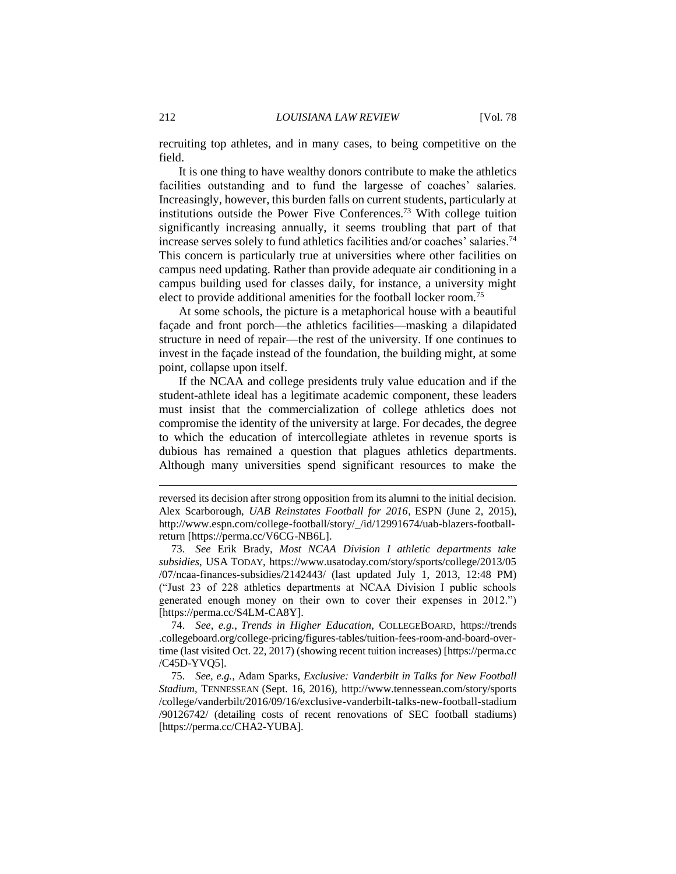recruiting top athletes, and in many cases, to being competitive on the field.

It is one thing to have wealthy donors contribute to make the athletics facilities outstanding and to fund the largesse of coaches' salaries. Increasingly, however, this burden falls on current students, particularly at institutions outside the Power Five Conferences.<sup>73</sup> With college tuition significantly increasing annually, it seems troubling that part of that increase serves solely to fund athletics facilities and/or coaches' salaries.<sup>74</sup> This concern is particularly true at universities where other facilities on campus need updating. Rather than provide adequate air conditioning in a campus building used for classes daily, for instance, a university might elect to provide additional amenities for the football locker room.<sup>75</sup>

At some schools, the picture is a metaphorical house with a beautiful façade and front porch—the athletics facilities—masking a dilapidated structure in need of repair—the rest of the university. If one continues to invest in the façade instead of the foundation, the building might, at some point, collapse upon itself.

If the NCAA and college presidents truly value education and if the student-athlete ideal has a legitimate academic component, these leaders must insist that the commercialization of college athletics does not compromise the identity of the university at large. For decades, the degree to which the education of intercollegiate athletes in revenue sports is dubious has remained a question that plagues athletics departments. Although many universities spend significant resources to make the

reversed its decision after strong opposition from its alumni to the initial decision. Alex Scarborough, *UAB Reinstates Football for 2016*, ESPN (June 2, 2015), http://www.espn.com/college-football/story/\_/id/12991674/uab-blazers-footballreturn [https://perma.cc/V6CG-NB6L].

<sup>73.</sup> *See* Erik Brady, *Most NCAA Division I athletic departments take subsidies*, USA TODAY, https://www.usatoday.com/story/sports/college/2013/05 /07/ncaa-finances-subsidies/2142443/ (last updated July 1, 2013, 12:48 PM) ("Just 23 of 228 athletics departments at NCAA Division I public schools generated enough money on their own to cover their expenses in 2012.") [https://perma.cc/S4LM-CA8Y].

<sup>74.</sup> *See, e.g.*, *Trends in Higher Education*, COLLEGEBOARD, https://trends .collegeboard.org/college-pricing/figures-tables/tuition-fees-room-and-board-overtime (last visited Oct. 22, 2017) (showing recent tuition increases) [https://perma.cc /C45D-YVQ5].

<sup>75.</sup> *See, e.g.*, Adam Sparks, *Exclusive: Vanderbilt in Talks for New Football Stadium*, TENNESSEAN (Sept. 16, 2016), http://www.tennessean.com/story/sports /college/vanderbilt/2016/09/16/exclusive-vanderbilt-talks-new-football-stadium /90126742/ (detailing costs of recent renovations of SEC football stadiums) [https://perma.cc/CHA2-YUBA].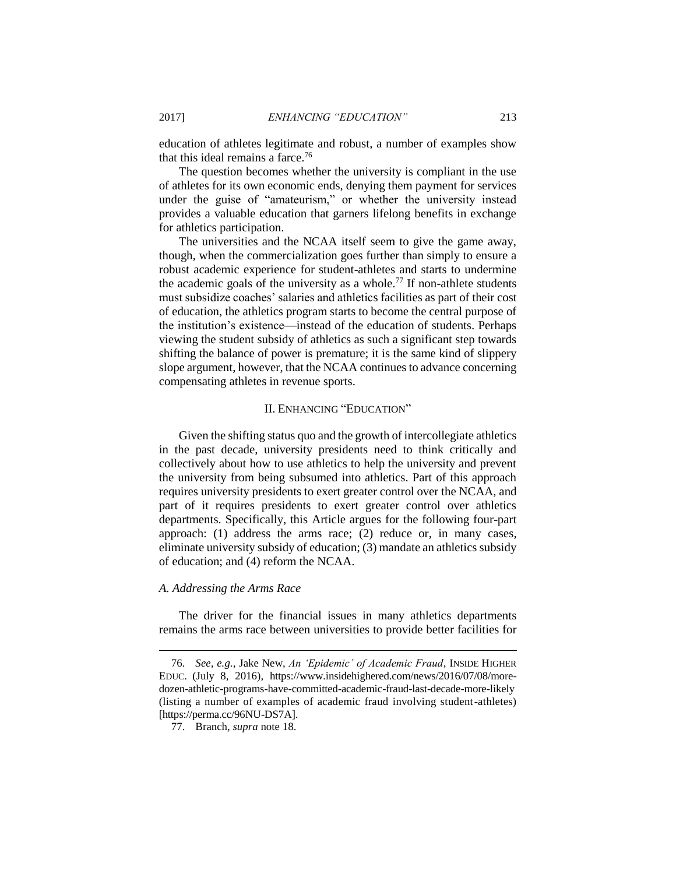education of athletes legitimate and robust, a number of examples show that this ideal remains a farce.<sup>76</sup>

The question becomes whether the university is compliant in the use of athletes for its own economic ends, denying them payment for services under the guise of "amateurism," or whether the university instead provides a valuable education that garners lifelong benefits in exchange for athletics participation.

The universities and the NCAA itself seem to give the game away, though, when the commercialization goes further than simply to ensure a robust academic experience for student-athletes and starts to undermine the academic goals of the university as a whole.<sup>77</sup> If non-athlete students must subsidize coaches' salaries and athletics facilities as part of their cost of education, the athletics program starts to become the central purpose of the institution's existence—instead of the education of students. Perhaps viewing the student subsidy of athletics as such a significant step towards shifting the balance of power is premature; it is the same kind of slippery slope argument, however, that the NCAA continues to advance concerning compensating athletes in revenue sports.

#### II. ENHANCING "EDUCATION"

Given the shifting status quo and the growth of intercollegiate athletics in the past decade, university presidents need to think critically and collectively about how to use athletics to help the university and prevent the university from being subsumed into athletics. Part of this approach requires university presidents to exert greater control over the NCAA, and part of it requires presidents to exert greater control over athletics departments. Specifically, this Article argues for the following four-part approach: (1) address the arms race; (2) reduce or, in many cases, eliminate university subsidy of education; (3) mandate an athletics subsidy of education; and (4) reform the NCAA.

#### *A. Addressing the Arms Race*

 $\overline{a}$ 

The driver for the financial issues in many athletics departments remains the arms race between universities to provide better facilities for

<sup>76.</sup> *See, e.g.*, Jake New, *An 'Epidemic' of Academic Fraud*, INSIDE HIGHER EDUC. (July 8, 2016), [https://www.insidehighered.com/news/2016/07/08/more](https://www.insidehighered.com/news/2016/07/08/more-dozen-athletic-programs-have-committed-academic-fraud-last-decade-more-likely)[dozen-athletic-programs-have-committed-academic-fraud-last-decade-more-likely](https://www.insidehighered.com/news/2016/07/08/more-dozen-athletic-programs-have-committed-academic-fraud-last-decade-more-likely) (listing a number of examples of academic fraud involving student-athletes) [https://perma.cc/96NU-DS7A].

<sup>77.</sup> Branch, *supra* note 18.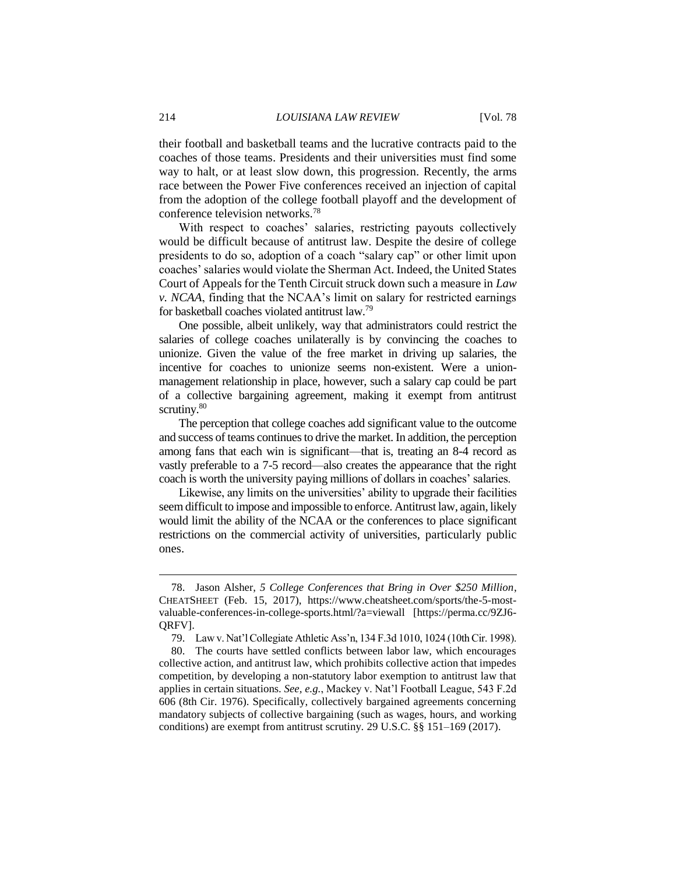their football and basketball teams and the lucrative contracts paid to the coaches of those teams. Presidents and their universities must find some way to halt, or at least slow down, this progression. Recently, the arms race between the Power Five conferences received an injection of capital from the adoption of the college football playoff and the development of conference television networks.<sup>78</sup>

With respect to coaches' salaries, restricting payouts collectively would be difficult because of antitrust law. Despite the desire of college presidents to do so, adoption of a coach "salary cap" or other limit upon coaches' salaries would violate the Sherman Act. Indeed, the United States Court of Appeals for the Tenth Circuit struck down such a measure in *Law v. NCAA*, finding that the NCAA's limit on salary for restricted earnings for basketball coaches violated antitrust law.<sup>79</sup>

One possible, albeit unlikely, way that administrators could restrict the salaries of college coaches unilaterally is by convincing the coaches to unionize. Given the value of the free market in driving up salaries, the incentive for coaches to unionize seems non-existent. Were a unionmanagement relationship in place, however, such a salary cap could be part of a collective bargaining agreement, making it exempt from antitrust scrutiny.<sup>80</sup>

The perception that college coaches add significant value to the outcome and success of teams continues to drive the market. In addition, the perception among fans that each win is significant—that is, treating an 8-4 record as vastly preferable to a 7-5 record—also creates the appearance that the right coach is worth the university paying millions of dollars in coaches' salaries.

Likewise, any limits on the universities' ability to upgrade their facilities seem difficult to impose and impossible to enforce. Antitrust law, again, likely would limit the ability of the NCAA or the conferences to place significant restrictions on the commercial activity of universities, particularly public ones.

<sup>78.</sup> Jason Alsher, *5 College Conferences that Bring in Over \$250 Million*, CHEATSHEET (Feb. 15, 2017), https://www.cheatsheet.com/sports/the-5-mostvaluable-conferences-in-college-sports.html/?a=viewall [https://perma.cc/9ZJ6- QRFV].

<sup>79.</sup> Law v. Nat'l Collegiate Athletic Ass'n, 134 F.3d 1010, 1024 (10th Cir. 1998).

<sup>80.</sup> The courts have settled conflicts between labor law, which encourages collective action, and antitrust law, which prohibits collective action that impedes competition, by developing a non-statutory labor exemption to antitrust law that applies in certain situations. *See, e.g.*, Mackey v. Nat'l Football League, 543 F.2d 606 (8th Cir. 1976). Specifically, collectively bargained agreements concerning mandatory subjects of collective bargaining (such as wages, hours, and working conditions) are exempt from antitrust scrutiny. 29 U.S.C. §§ 151–169 (2017).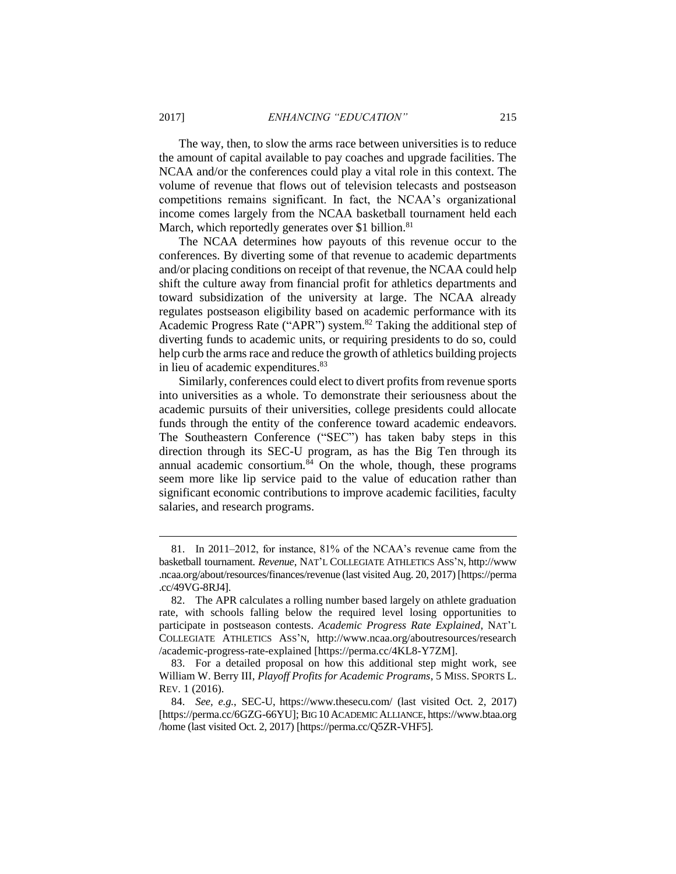The way, then, to slow the arms race between universities is to reduce the amount of capital available to pay coaches and upgrade facilities. The NCAA and/or the conferences could play a vital role in this context. The volume of revenue that flows out of television telecasts and postseason competitions remains significant. In fact, the NCAA's organizational income comes largely from the NCAA basketball tournament held each March, which reportedly generates over \$1 billion.<sup>81</sup>

The NCAA determines how payouts of this revenue occur to the conferences. By diverting some of that revenue to academic departments and/or placing conditions on receipt of that revenue, the NCAA could help shift the culture away from financial profit for athletics departments and toward subsidization of the university at large. The NCAA already regulates postseason eligibility based on academic performance with its Academic Progress Rate ("APR") system.<sup>82</sup> Taking the additional step of diverting funds to academic units, or requiring presidents to do so, could help curb the arms race and reduce the growth of athletics building projects in lieu of academic expenditures.<sup>83</sup>

Similarly, conferences could elect to divert profits from revenue sports into universities as a whole. To demonstrate their seriousness about the academic pursuits of their universities, college presidents could allocate funds through the entity of the conference toward academic endeavors. The Southeastern Conference ("SEC") has taken baby steps in this direction through its SEC-U program, as has the Big Ten through its annual academic consortium. $84$  On the whole, though, these programs seem more like lip service paid to the value of education rather than significant economic contributions to improve academic facilities, faculty salaries, and research programs.

<sup>81.</sup> In 2011–2012, for instance, 81% of the NCAA's revenue came from the basketball tournament. *Revenue*, NAT'L COLLEGIATE ATHLETICS ASS'N, http://www .ncaa.org/about/resources/finances/revenue (last visited Aug. 20, 2017) [https://perma .cc/49VG-8RJ4].

<sup>82.</sup> The APR calculates a rolling number based largely on athlete graduation rate, with schools falling below the required level losing opportunities to participate in postseason contests. *Academic Progress Rate Explained*, NAT'L COLLEGIATE ATHLETICS ASS'N, http://www.ncaa.org/aboutresources/research /academic-progress-rate-explained [https://perma.cc/4KL8-Y7ZM].

<sup>83.</sup> For a detailed proposal on how this additional step might work, see William W. Berry III, *Playoff Profits for Academic Programs*, 5 MISS. SPORTS L. REV. 1 (2016).

<sup>84.</sup> *See, e.g.*, SEC-U, https://www.thesecu.com/ (last visited Oct. 2, 2017) [https://perma.cc/6GZG-66YU]; BIG 10ACADEMIC ALLIANCE, https://www.btaa.org /home (last visited Oct. 2, 2017) [https://perma.cc/Q5ZR-VHF5].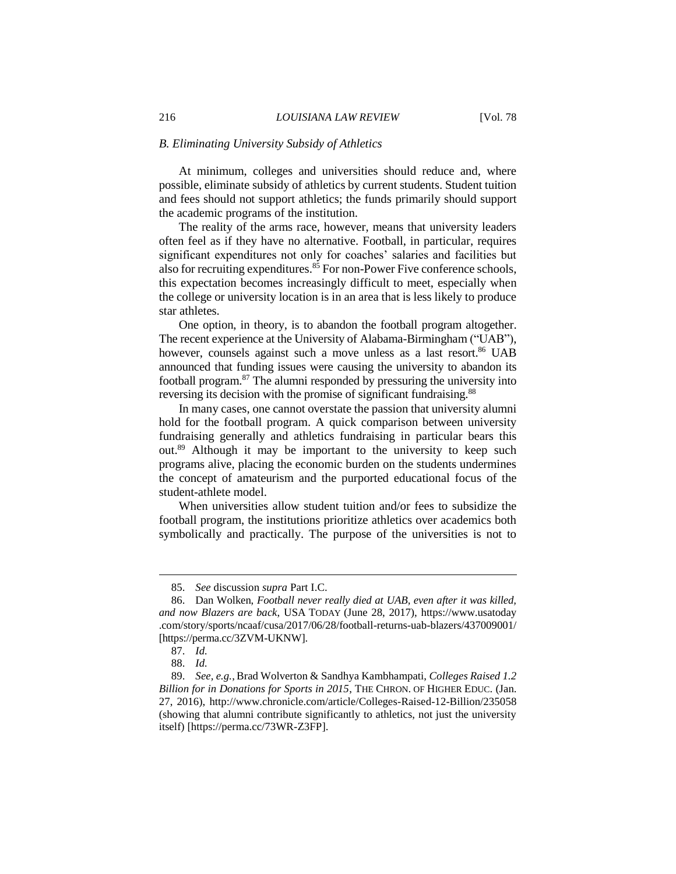#### *B. Eliminating University Subsidy of Athletics*

At minimum, colleges and universities should reduce and, where possible, eliminate subsidy of athletics by current students. Student tuition and fees should not support athletics; the funds primarily should support the academic programs of the institution.

The reality of the arms race, however, means that university leaders often feel as if they have no alternative. Football, in particular, requires significant expenditures not only for coaches' salaries and facilities but also for recruiting expenditures. $85$  For non-Power Five conference schools, this expectation becomes increasingly difficult to meet, especially when the college or university location is in an area that is less likely to produce star athletes.

One option, in theory, is to abandon the football program altogether. The recent experience at the University of Alabama-Birmingham ("UAB"), however, counsels against such a move unless as a last resort.<sup>86</sup> UAB announced that funding issues were causing the university to abandon its football program.<sup>87</sup> The alumni responded by pressuring the university into reversing its decision with the promise of significant fundraising.<sup>88</sup>

In many cases, one cannot overstate the passion that university alumni hold for the football program. A quick comparison between university fundraising generally and athletics fundraising in particular bears this out.<sup>89</sup> Although it may be important to the university to keep such programs alive, placing the economic burden on the students undermines the concept of amateurism and the purported educational focus of the student-athlete model.

When universities allow student tuition and/or fees to subsidize the football program, the institutions prioritize athletics over academics both symbolically and practically. The purpose of the universities is not to

<sup>85.</sup> *See* discussion *supra* Part I.C.

<sup>86.</sup> Dan Wolken, *Football never really died at UAB, even after it was killed, and now Blazers are back*, USA TODAY (June 28, 2017), https://www.usatoday .com/story/sports/ncaaf/cusa/2017/06/28/football-returns-uab-blazers/437009001/ [https://perma.cc/3ZVM-UKNW].

<sup>87.</sup> *Id.*

<sup>88.</sup> *Id.*

<sup>89.</sup> *See, e.g.*, Brad Wolverton & Sandhya Kambhampati, *Colleges Raised 1.2 Billion for in Donations for Sports in 2015*, THE CHRON. OF HIGHER EDUC. (Jan. 27, 2016),<http://www.chronicle.com/article/Colleges-Raised-12-Billion/235058> (showing that alumni contribute significantly to athletics, not just the university itself) [https://perma.cc/73WR-Z3FP].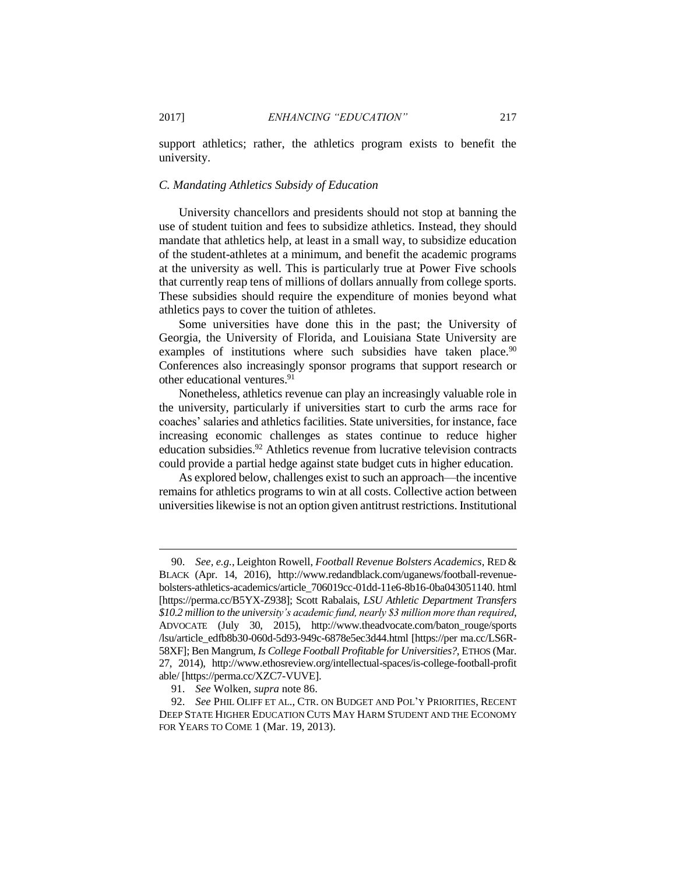support athletics; rather, the athletics program exists to benefit the university.

#### *C. Mandating Athletics Subsidy of Education*

University chancellors and presidents should not stop at banning the use of student tuition and fees to subsidize athletics. Instead, they should mandate that athletics help, at least in a small way, to subsidize education of the student-athletes at a minimum, and benefit the academic programs at the university as well. This is particularly true at Power Five schools that currently reap tens of millions of dollars annually from college sports. These subsidies should require the expenditure of monies beyond what athletics pays to cover the tuition of athletes.

Some universities have done this in the past; the University of Georgia, the University of Florida, and Louisiana State University are examples of institutions where such subsidies have taken place.<sup>90</sup> Conferences also increasingly sponsor programs that support research or other educational ventures.<sup>91</sup>

Nonetheless, athletics revenue can play an increasingly valuable role in the university, particularly if universities start to curb the arms race for coaches' salaries and athletics facilities. State universities, for instance, face increasing economic challenges as states continue to reduce higher education subsidies.<sup>92</sup> Athletics revenue from lucrative television contracts could provide a partial hedge against state budget cuts in higher education.

As explored below, challenges exist to such an approach—the incentive remains for athletics programs to win at all costs. Collective action between universities likewise is not an option given antitrust restrictions. Institutional

<sup>90.</sup> *See, e.g.*, Leighton Rowell, *Football Revenue Bolsters Academics*, RED & BLACK (Apr. 14, 2016), http://www.redandblack.com/uganews/football-revenuebolsters-athletics-academics/article\_706019cc-01dd-11e6-8b16-0ba043051140. html [https://perma.cc/B5YX-Z938]; Scott Rabalais, *LSU Athletic Department Transfers \$10.2 million to the university's academic fund, nearly \$3 million more than required*, ADVOCATE (July 30, 2015), http://www.theadvocate.com/baton\_rouge/sports /lsu/article\_edfb8b30-060d-5d93-949c-6878e5ec3d44.html [https://per ma.cc/LS6R-58XF]; Ben Mangrum, *Is College Football Profitable for Universities?*, ETHOS (Mar. 27, 2014), http://www.ethosreview.org/intellectual-spaces/is-college-football-profit able/ [https://perma.cc/XZC7-VUVE].

<sup>91.</sup> *See* Wolken, *supra* note 86.

<sup>92.</sup> *See* PHIL OLIFF ET AL., CTR. ON BUDGET AND POL'Y PRIORITIES, RECENT DEEP STATE HIGHER EDUCATION CUTS MAY HARM STUDENT AND THE ECONOMY FOR YEARS TO COME 1 (Mar. 19, 2013).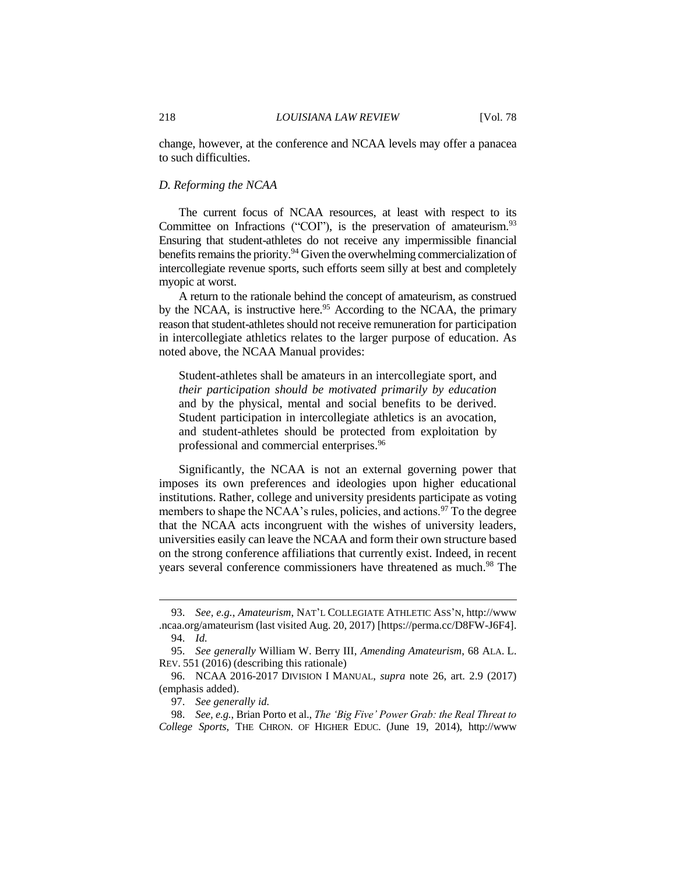change, however, at the conference and NCAA levels may offer a panacea to such difficulties.

#### *D. Reforming the NCAA*

The current focus of NCAA resources, at least with respect to its Committee on Infractions ("COI"), is the preservation of amateurism. $93$ Ensuring that student-athletes do not receive any impermissible financial benefits remains the priority.<sup>94</sup> Given the overwhelming commercialization of intercollegiate revenue sports, such efforts seem silly at best and completely myopic at worst.

A return to the rationale behind the concept of amateurism, as construed by the NCAA, is instructive here.<sup>95</sup> According to the NCAA, the primary reason that student-athletes should not receive remuneration for participation in intercollegiate athletics relates to the larger purpose of education. As noted above, the NCAA Manual provides:

Student-athletes shall be amateurs in an intercollegiate sport, and *their participation should be motivated primarily by education* and by the physical, mental and social benefits to be derived. Student participation in intercollegiate athletics is an avocation, and student-athletes should be protected from exploitation by professional and commercial enterprises.<sup>96</sup>

Significantly, the NCAA is not an external governing power that imposes its own preferences and ideologies upon higher educational institutions. Rather, college and university presidents participate as voting members to shape the NCAA's rules, policies, and actions.<sup>97</sup> To the degree that the NCAA acts incongruent with the wishes of university leaders, universities easily can leave the NCAA and form their own structure based on the strong conference affiliations that currently exist. Indeed, in recent years several conference commissioners have threatened as much.<sup>98</sup> The

<sup>93.</sup> *See, e.g.*, *Amateurism*, NAT'L COLLEGIATE ATHLETIC ASS'N, http://www .ncaa.org/amateurism (last visited Aug. 20, 2017) [https://perma.cc/D8FW-J6F4]. 94. *Id.*

<sup>95.</sup> *See generally* William W. Berry III, *Amending Amateurism*, 68 ALA. L. REV. 551 (2016) (describing this rationale)

<sup>96.</sup> NCAA 2016-2017 DIVISION I MANUAL, *supra* note 26, art. 2.9 (2017) (emphasis added).

<sup>97.</sup> *See generally id.*

<sup>98.</sup> *See, e.g.*, Brian Porto et al., *The 'Big Five' Power Grab: the Real Threat to College Sports*, THE CHRON. OF HIGHER EDUC. (June 19, 2014), http://www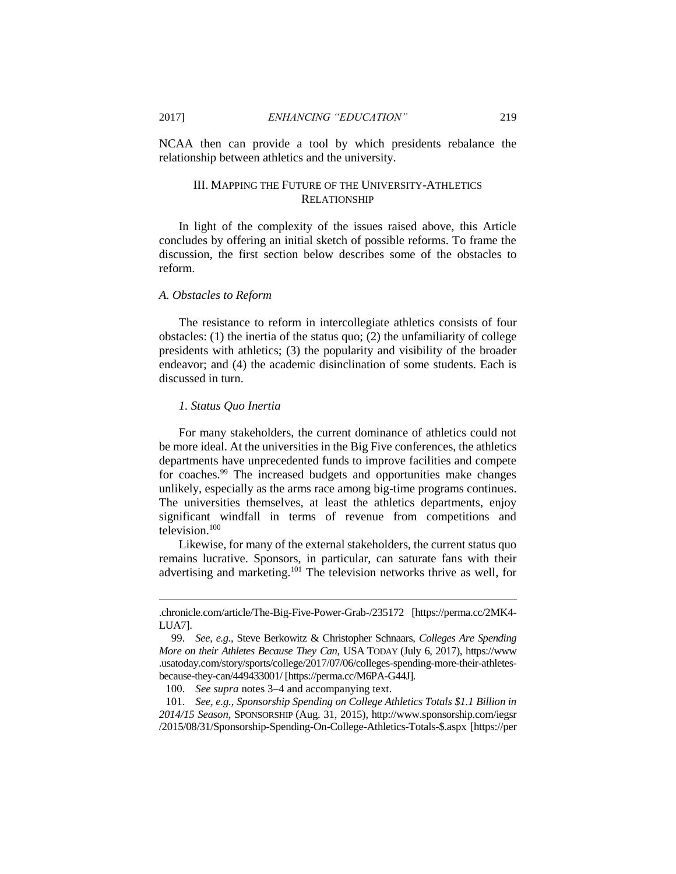NCAA then can provide a tool by which presidents rebalance the relationship between athletics and the university.

#### III. MAPPING THE FUTURE OF THE UNIVERSITY-ATHLETICS RELATIONSHIP

In light of the complexity of the issues raised above, this Article concludes by offering an initial sketch of possible reforms. To frame the discussion, the first section below describes some of the obstacles to reform.

#### *A. Obstacles to Reform*

The resistance to reform in intercollegiate athletics consists of four obstacles: (1) the inertia of the status quo; (2) the unfamiliarity of college presidents with athletics; (3) the popularity and visibility of the broader endeavor; and (4) the academic disinclination of some students. Each is discussed in turn.

#### *1. Status Quo Inertia*

 $\overline{a}$ 

For many stakeholders, the current dominance of athletics could not be more ideal. At the universities in the Big Five conferences, the athletics departments have unprecedented funds to improve facilities and compete for coaches.<sup>99</sup> The increased budgets and opportunities make changes unlikely, especially as the arms race among big-time programs continues. The universities themselves, at least the athletics departments, enjoy significant windfall in terms of revenue from competitions and television.<sup>100</sup>

Likewise, for many of the external stakeholders, the current status quo remains lucrative. Sponsors, in particular, can saturate fans with their advertising and marketing.<sup>101</sup> The television networks thrive as well, for

100. *See supra* notes 3–4 and accompanying text.

101. *See, e.g.*, *Sponsorship Spending on College Athletics Totals \$1.1 Billion in 2014/15 Season*, SPONSORSHIP (Aug. 31, 2015), http://www.sponsorship.com/iegsr /2015/08/31/Sponsorship-Spending-On-College-Athletics-Totals-\$.aspx [https://per

<sup>.</sup>chronicle.com/article/The-Big-Five-Power-Grab-/235172 [https://perma.cc/2MK4- LUA7].

<sup>99.</sup> *See, e.g.*, Steve Berkowitz & Christopher Schnaars, *Colleges Are Spending More on their Athletes Because They Can*, USA TODAY (July 6, 2017), https://www .usatoday.com/story/sports/college/2017/07/06/colleges-spending-more-their-athletesbecause-they-can/449433001/ [https://perma.cc/M6PA-G44J].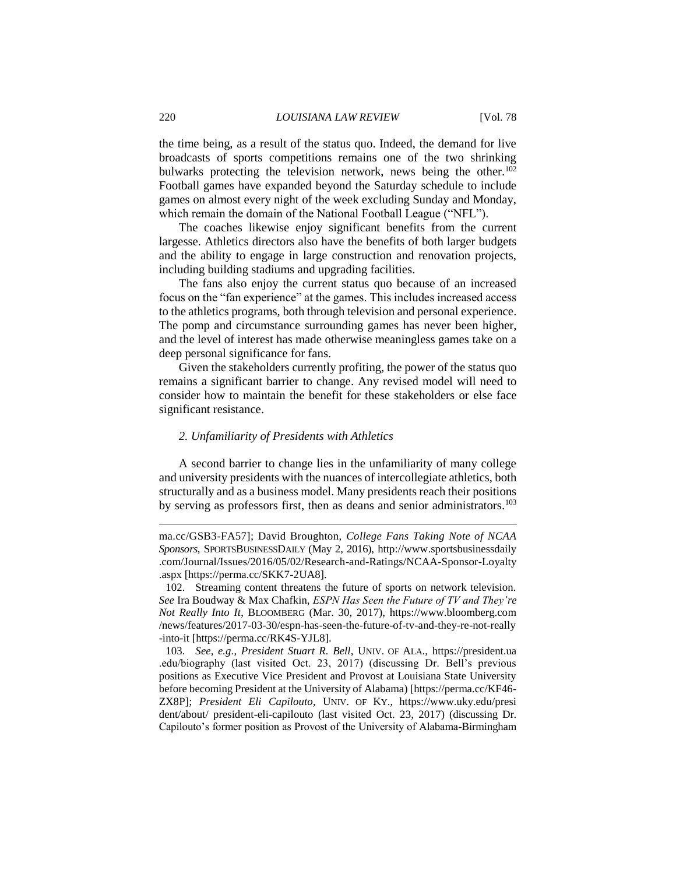the time being, as a result of the status quo. Indeed, the demand for live broadcasts of sports competitions remains one of the two shrinking bulwarks protecting the television network, news being the other.<sup>102</sup> Football games have expanded beyond the Saturday schedule to include games on almost every night of the week excluding Sunday and Monday, which remain the domain of the National Football League ("NFL").

The coaches likewise enjoy significant benefits from the current largesse. Athletics directors also have the benefits of both larger budgets and the ability to engage in large construction and renovation projects, including building stadiums and upgrading facilities.

The fans also enjoy the current status quo because of an increased focus on the "fan experience" at the games. This includes increased access to the athletics programs, both through television and personal experience. The pomp and circumstance surrounding games has never been higher, and the level of interest has made otherwise meaningless games take on a deep personal significance for fans.

Given the stakeholders currently profiting, the power of the status quo remains a significant barrier to change. Any revised model will need to consider how to maintain the benefit for these stakeholders or else face significant resistance.

#### *2. Unfamiliarity of Presidents with Athletics*

A second barrier to change lies in the unfamiliarity of many college and university presidents with the nuances of intercollegiate athletics, both structurally and as a business model. Many presidents reach their positions by serving as professors first, then as deans and senior administrators.<sup>103</sup>

ma.cc/GSB3-FA57]; David Broughton, *College Fans Taking Note of NCAA Sponsors*, SPORTSBUSINESSDAILY (May 2, 2016), http://www.sportsbusinessdaily .com/Journal/Issues/2016/05/02/Research-and-Ratings/NCAA-Sponsor-Loyalty .aspx [https://perma.cc/SKK7-2UA8].

<sup>102.</sup> Streaming content threatens the future of sports on network television. *See* Ira Boudway & Max Chafkin, *ESPN Has Seen the Future of TV and They're Not Really Into It*, BLOOMBERG (Mar. 30, 2017), https://www.bloomberg.com /news/features/2017-03-30/espn-has-seen-the-future-of-tv-and-they-re-not-really -into-it [https://perma.cc/RK4S-YJL8].

<sup>103.</sup> *See, e.g.*, *President Stuart R. Bell*, UNIV. OF ALA., https://president.ua .edu/biography (last visited Oct. 23, 2017) (discussing Dr. Bell's previous positions as Executive Vice President and Provost at Louisiana State University before becoming President at the University of Alabama) [https://perma.cc/KF46- ZX8P]; *President Eli Capilouto*, UNIV. OF KY., https://www.uky.edu/presi dent/about/ president-eli-capilouto (last visited Oct. 23, 2017) (discussing Dr. Capilouto's former position as Provost of the University of Alabama-Birmingham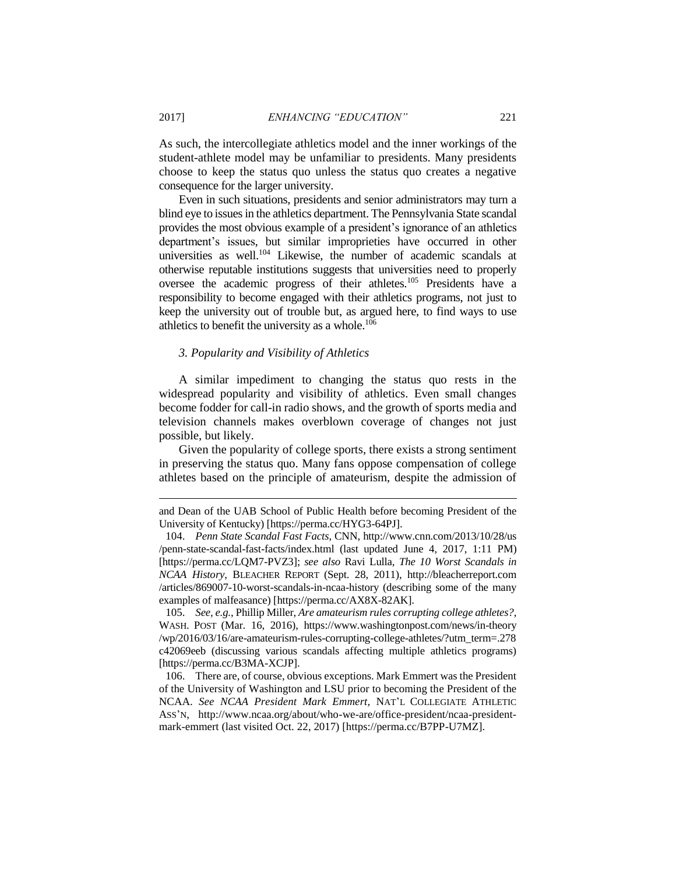As such, the intercollegiate athletics model and the inner workings of the student-athlete model may be unfamiliar to presidents. Many presidents choose to keep the status quo unless the status quo creates a negative consequence for the larger university.

Even in such situations, presidents and senior administrators may turn a blind eye to issues in the athletics department. The Pennsylvania State scandal provides the most obvious example of a president's ignorance of an athletics department's issues, but similar improprieties have occurred in other universities as well.<sup>104</sup> Likewise, the number of academic scandals at otherwise reputable institutions suggests that universities need to properly oversee the academic progress of their athletes.<sup>105</sup> Presidents have a responsibility to become engaged with their athletics programs, not just to keep the university out of trouble but, as argued here, to find ways to use athletics to benefit the university as a whole.<sup>106</sup>

#### *3. Popularity and Visibility of Athletics*

A similar impediment to changing the status quo rests in the widespread popularity and visibility of athletics. Even small changes become fodder for call-in radio shows, and the growth of sports media and television channels makes overblown coverage of changes not just possible, but likely.

Given the popularity of college sports, there exists a strong sentiment in preserving the status quo. Many fans oppose compensation of college athletes based on the principle of amateurism, despite the admission of

and Dean of the UAB School of Public Health before becoming President of the University of Kentucky) [https://perma.cc/HYG3-64PJ].

<sup>104.</sup> *Penn State Scandal Fast Facts*, CNN, http://www.cnn.com/2013/10/28/us /penn-state-scandal-fast-facts/index.html (last updated June 4, 2017, 1:11 PM) [https://perma.cc/LQM7-PVZ3]; *see also* Ravi Lulla, *The 10 Worst Scandals in NCAA History*, BLEACHER REPORT (Sept. 28, 2011), http://bleacherreport.com /articles/869007-10-worst-scandals-in-ncaa-history (describing some of the many examples of malfeasance) [https://perma.cc/AX8X-82AK].

<sup>105.</sup> *See, e.g.*, Phillip Miller, *Are amateurism rules corrupting college athletes?*, WASH. POST (Mar. 16, 2016), https://www.washingtonpost.com/news/in-theory /wp/2016/03/16/are-amateurism-rules-corrupting-college-athletes/?utm\_term=.278 c42069eeb (discussing various scandals affecting multiple athletics programs) [https://perma.cc/B3MA-XCJP].

<sup>106.</sup> There are, of course, obvious exceptions. Mark Emmert was the President of the University of Washington and LSU prior to becoming the President of the NCAA. *See NCAA President Mark Emmert*, NAT'L COLLEGIATE ATHLETIC ASS'N, http://www.ncaa.org/about/who-we-are/office-president/ncaa-presidentmark-emmert (last visited Oct. 22, 2017) [https://perma.cc/B7PP-U7MZ].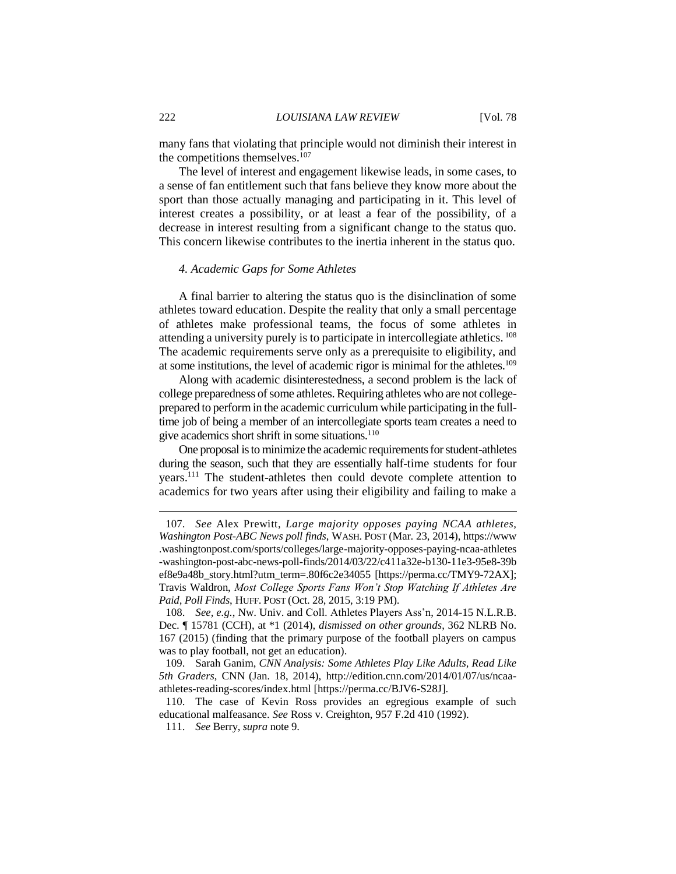many fans that violating that principle would not diminish their interest in the competitions themselves.<sup>107</sup>

The level of interest and engagement likewise leads, in some cases, to a sense of fan entitlement such that fans believe they know more about the sport than those actually managing and participating in it. This level of interest creates a possibility, or at least a fear of the possibility, of a decrease in interest resulting from a significant change to the status quo. This concern likewise contributes to the inertia inherent in the status quo.

### *4. Academic Gaps for Some Athletes*

A final barrier to altering the status quo is the disinclination of some athletes toward education. Despite the reality that only a small percentage of athletes make professional teams, the focus of some athletes in attending a university purely is to participate in intercollegiate athletics. <sup>108</sup> The academic requirements serve only as a prerequisite to eligibility, and at some institutions, the level of academic rigor is minimal for the athletes.<sup>109</sup>

Along with academic disinterestedness, a second problem is the lack of college preparedness of some athletes. Requiring athletes who are not collegeprepared to perform in the academic curriculum while participating in the fulltime job of being a member of an intercollegiate sports team creates a need to give academics short shrift in some situations.<sup>110</sup>

One proposal is to minimize the academic requirements for student-athletes during the season, such that they are essentially half-time students for four years.<sup>111</sup> The student-athletes then could devote complete attention to academics for two years after using their eligibility and failing to make a

<sup>107.</sup> *See* Alex Prewitt, *Large majority opposes paying NCAA athletes, Washington Post-ABC News poll finds*, WASH. POST (Mar. 23, 2014), https://www .washingtonpost.com/sports/colleges/large-majority-opposes-paying-ncaa-athletes -washington-post-abc-news-poll-finds/2014/03/22/c411a32e-b130-11e3-95e8-39b ef8e9a48b\_story.html?utm\_term=.80f6c2e34055 [https://perma.cc/TMY9-72AX]; Travis Waldron, *Most College Sports Fans Won't Stop Watching If Athletes Are Paid, Poll Finds*, HUFF. POST (Oct. 28, 2015, 3:19 PM).

<sup>108.</sup> *See, e.g.*, Nw. Univ. and Coll. Athletes Players Ass'n, 2014-15 N.L.R.B. Dec. ¶ 15781 (CCH), at \*1 (2014), *dismissed on other grounds*, 362 NLRB No. 167 (2015) (finding that the primary purpose of the football players on campus was to play football, not get an education).

<sup>109.</sup> Sarah Ganim, *CNN Analysis: Some Athletes Play Like Adults, Read Like 5th Graders*, CNN (Jan. 18, 2014), http://edition.cnn.com/2014/01/07/us/ncaaathletes-reading-scores/index.html [https://perma.cc/BJV6-S28J].

<sup>110.</sup> The case of Kevin Ross provides an egregious example of such educational malfeasance. *See* Ross v. Creighton, 957 F.2d 410 (1992).

<sup>111.</sup> *See* Berry, *supra* note 9.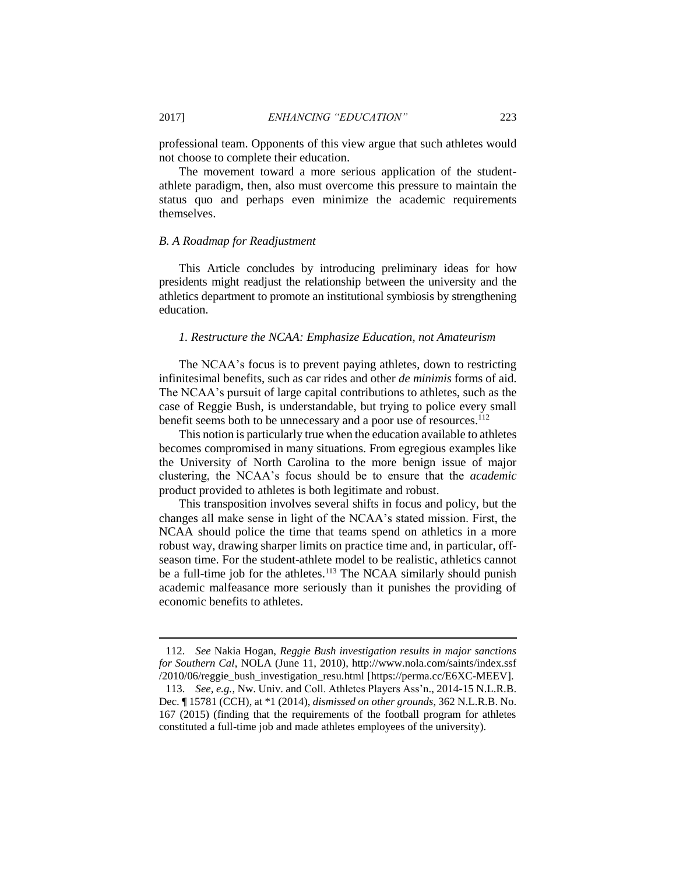professional team. Opponents of this view argue that such athletes would not choose to complete their education.

The movement toward a more serious application of the studentathlete paradigm, then, also must overcome this pressure to maintain the status quo and perhaps even minimize the academic requirements themselves.

#### *B. A Roadmap for Readjustment*

This Article concludes by introducing preliminary ideas for how presidents might readjust the relationship between the university and the athletics department to promote an institutional symbiosis by strengthening education.

#### *1. Restructure the NCAA: Emphasize Education, not Amateurism*

The NCAA's focus is to prevent paying athletes, down to restricting infinitesimal benefits, such as car rides and other *de minimis* forms of aid. The NCAA's pursuit of large capital contributions to athletes, such as the case of Reggie Bush, is understandable, but trying to police every small benefit seems both to be unnecessary and a poor use of resources.<sup>112</sup>

This notion is particularly true when the education available to athletes becomes compromised in many situations. From egregious examples like the University of North Carolina to the more benign issue of major clustering, the NCAA's focus should be to ensure that the *academic* product provided to athletes is both legitimate and robust.

This transposition involves several shifts in focus and policy, but the changes all make sense in light of the NCAA's stated mission. First, the NCAA should police the time that teams spend on athletics in a more robust way, drawing sharper limits on practice time and, in particular, offseason time. For the student-athlete model to be realistic, athletics cannot be a full-time job for the athletes.<sup>113</sup> The NCAA similarly should punish academic malfeasance more seriously than it punishes the providing of economic benefits to athletes.

<sup>112.</sup> *See* Nakia Hogan, *Reggie Bush investigation results in major sanctions for Southern Cal*, NOLA (June 11, 2010), http://www.nola.com/saints/index.ssf /2010/06/reggie\_bush\_investigation\_resu.html [https://perma.cc/E6XC-MEEV].

<sup>113.</sup> *See, e.g.*, Nw. Univ. and Coll. Athletes Players Ass'n., 2014-15 N.L.R.B. Dec. ¶ 15781 (CCH), at \*1 (2014), *dismissed on other grounds*, 362 N.L.R.B. No. 167 (2015) (finding that the requirements of the football program for athletes constituted a full-time job and made athletes employees of the university).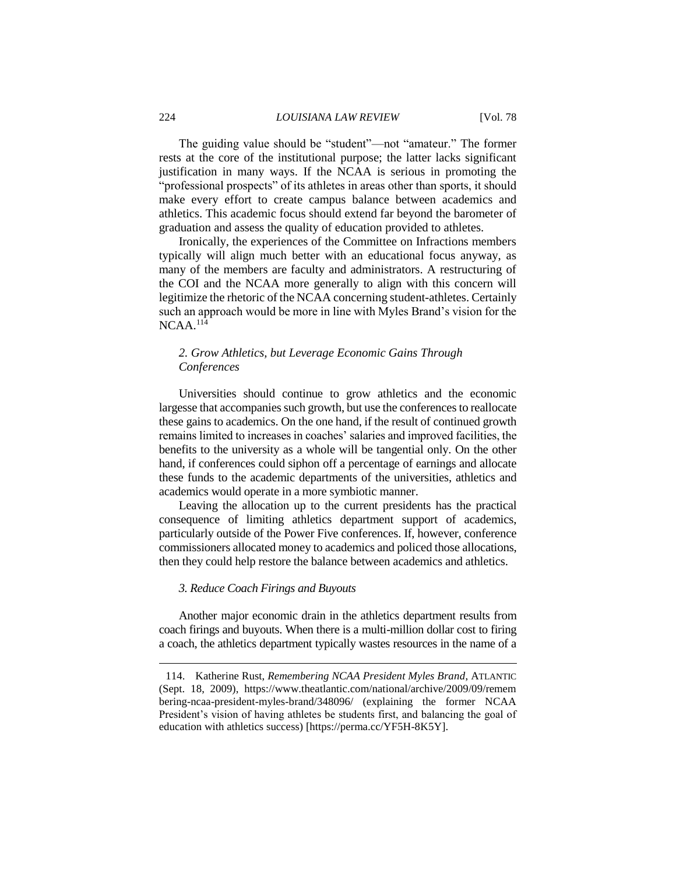The guiding value should be "student"—not "amateur." The former rests at the core of the institutional purpose; the latter lacks significant justification in many ways. If the NCAA is serious in promoting the "professional prospects" of its athletes in areas other than sports, it should make every effort to create campus balance between academics and athletics. This academic focus should extend far beyond the barometer of graduation and assess the quality of education provided to athletes.

Ironically, the experiences of the Committee on Infractions members typically will align much better with an educational focus anyway, as many of the members are faculty and administrators. A restructuring of the COI and the NCAA more generally to align with this concern will legitimize the rhetoric of the NCAA concerning student-athletes. Certainly such an approach would be more in line with Myles Brand's vision for the  $NCAA$ <sup>114</sup>

## *2. Grow Athletics, but Leverage Economic Gains Through Conferences*

Universities should continue to grow athletics and the economic largesse that accompanies such growth, but use the conferences to reallocate these gains to academics. On the one hand, if the result of continued growth remains limited to increases in coaches' salaries and improved facilities, the benefits to the university as a whole will be tangential only. On the other hand, if conferences could siphon off a percentage of earnings and allocate these funds to the academic departments of the universities, athletics and academics would operate in a more symbiotic manner.

Leaving the allocation up to the current presidents has the practical consequence of limiting athletics department support of academics, particularly outside of the Power Five conferences. If, however, conference commissioners allocated money to academics and policed those allocations, then they could help restore the balance between academics and athletics.

#### *3. Reduce Coach Firings and Buyouts*

Another major economic drain in the athletics department results from coach firings and buyouts. When there is a multi-million dollar cost to firing a coach, the athletics department typically wastes resources in the name of a

<sup>114.</sup> Katherine Rust, *Remembering NCAA President Myles Brand*, ATLANTIC (Sept. 18, 2009), https://www.theatlantic.com/national/archive/2009/09/remem bering-ncaa-president-myles-brand/348096/ (explaining the former NCAA President's vision of having athletes be students first, and balancing the goal of education with athletics success) [https://perma.cc/YF5H-8K5Y].